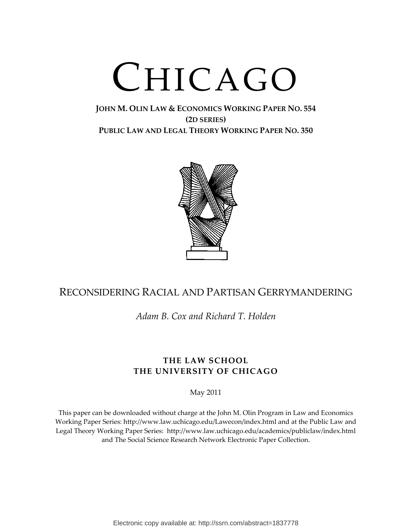# CHICAGO

# **JOHN M. OLIN LAW & ECONOMICS WORKING PAPER NO. 554 (2D SERIES) PUBLIC LAW AND LEGAL THEORY WORKING PAPER NO. 350**



# RECONSIDERING RACIAL AND PARTISAN GERRYMANDERING

*Adam B. Cox and Richard T. Holden*

# **THE LAW SCHOOL THE UNIVERSITY OF CHICAGO**

May 2011

This paper can be downloaded without charge at the John M. Olin Program in Law and Economics Working Paper Series: http://www.law.uchicago.edu/Lawecon/index.html and at the Public Law and Legal Theory Working Paper Series: http://www.law.uchicago.edu/academics/publiclaw/index.html and The Social Science Research Network Electronic Paper Collection.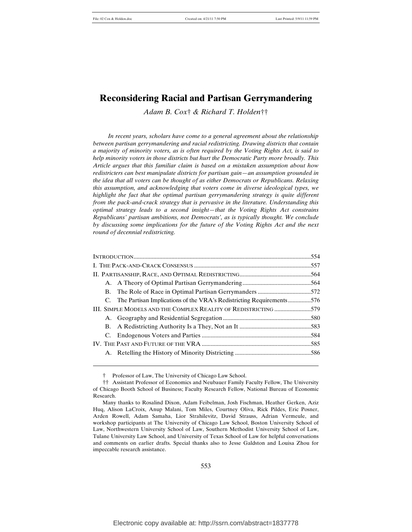*Adam B. Cox*† *& Richard T. Holden*††

*In recent years, scholars have come to a general agreement about the relationship between partisan gerrymandering and racial redistricting. Drawing districts that contain a majority of minority voters, as is often required by the Voting Rights Act, is said to help minority voters in those districts but hurt the Democratic Party more broadly. This Article argues that this familiar claim is based on a mistaken assumption about how redistricters can best manipulate districts for partisan gain—an assumption grounded in the idea that all voters can be thought of as either Democrats or Republicans. Relaxing this assumption, and acknowledging that voters come in diverse ideological types, we highlight the fact that the optimal partisan gerrymandering strategy is quite different from the pack-and-crack strategy that is pervasive in the literature. Understanding this optimal strategy leads to a second insight—that the Voting Rights Act constrains Republicans' partisan ambitions, not Democrats', as is typically thought. We conclude by discussing some implications for the future of the Voting Rights Act and the next round of decennial redistricting.*

|                                                                 | C. The Partisan Implications of the VRA's Redistricting Requirements576 |  |
|-----------------------------------------------------------------|-------------------------------------------------------------------------|--|
| III. SIMPLE MODELS AND THE COMPLEX REALITY OF REDISTRICTING 579 |                                                                         |  |
|                                                                 |                                                                         |  |
|                                                                 |                                                                         |  |
|                                                                 |                                                                         |  |
|                                                                 |                                                                         |  |
|                                                                 |                                                                         |  |

<sup>†</sup> Professor of Law, The University of Chicago Law School.

<sup>††</sup> Assistant Professor of Economics and Neubauer Family Faculty Fellow, The University of Chicago Booth School of Business; Faculty Research Fellow, National Bureau of Economic Research.

Many thanks to Rosalind Dixon, Adam Feibelman, Josh Fischman, Heather Gerken, Aziz Huq, Alison LaCroix, Anup Malani, Tom Miles, Courtney Oliva, Rick Pildes, Eric Posner, Arden Rowell, Adam Samaha, Lior Strahilevitz, David Strauss, Adrian Vermeule, and workshop participants at The University of Chicago Law School, Boston University School of Law, Northwestern University School of Law, Southern Methodist University School of Law, Tulane University Law School, and University of Texas School of Law for helpful conversations and comments on earlier drafts. Special thanks also to Jesse Galdston and Louisa Zhou for impeccable research assistance.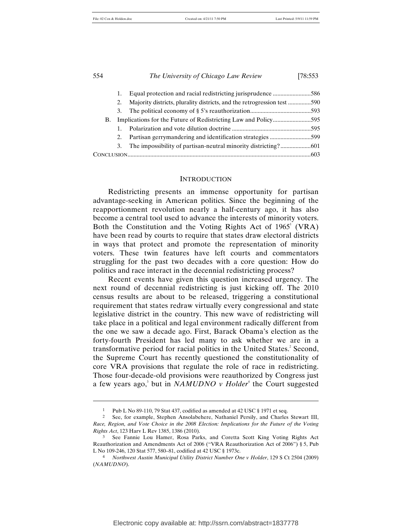| 554 |    | The University of Chicago Law Review                                    | [78:553] |  |
|-----|----|-------------------------------------------------------------------------|----------|--|
|     |    |                                                                         |          |  |
|     | 1. |                                                                         |          |  |
|     | 2. | Majority districts, plurality districts, and the retrogression test 590 |          |  |
|     | 3. |                                                                         |          |  |
| В.  |    |                                                                         |          |  |
|     |    |                                                                         |          |  |
|     | 2. |                                                                         |          |  |
|     | 3. |                                                                         |          |  |
|     |    |                                                                         |          |  |

#### INTRODUCTION

Redistricting presents an immense opportunity for partisan advantage-seeking in American politics. Since the beginning of the reapportionment revolution nearly a half-century ago, it has also become a central tool used to advance the interests of minority voters. Both the Constitution and the Voting Rights Act of  $1965^{\degree}$  (VRA) have been read by courts to require that states draw electoral districts in ways that protect and promote the representation of minority voters. These twin features have left courts and commentators struggling for the past two decades with a core question: How do politics and race interact in the decennial redistricting process?

Recent events have given this question increased urgency. The next round of decennial redistricting is just kicking off. The 2010 census results are about to be released, triggering a constitutional requirement that states redraw virtually every congressional and state legislative district in the country. This new wave of redistricting will take place in a political and legal environment radically different from the one we saw a decade ago. First, Barack Obama's election as the forty-fourth President has led many to ask whether we are in a transformative period for racial politics in the United States.<sup>2</sup> Second, the Supreme Court has recently questioned the constitutionality of core VRA provisions that regulate the role of race in redistricting. Those four-decade-old provisions were reauthorized by Congress just a few years ago,<sup>3</sup> but in *NAMUDNO v Holder*<sup>4</sup> the Court suggested

<sup>1</sup> Pub L No 89-110, 79 Stat 437, codified as amended at 42 USC § 1971 et seq.

<sup>2</sup> See, for example, Stephen Ansolabehere, Nathaniel Persily, and Charles Stewart III, *Race, Region, and Vote Choice in the 2008 Election: Implications for the Future of the Voting Rights Act*, 123 Harv L Rev 1385, 1386 (2010).

<sup>3</sup> See Fannie Lou Hamer, Rosa Parks, and Coretta Scott King Voting Rights Act Reauthorization and Amendments Act of 2006 ("VRA Reauthorization Act of 2006") § 5, Pub L No 109-246, 120 Stat 577, 580–81, codified at 42 USC § 1973c.

<sup>4</sup> *Northwest Austin Municipal Utility District Number One v Holder*, 129 S Ct 2504 (2009) (*NAMUDNO*).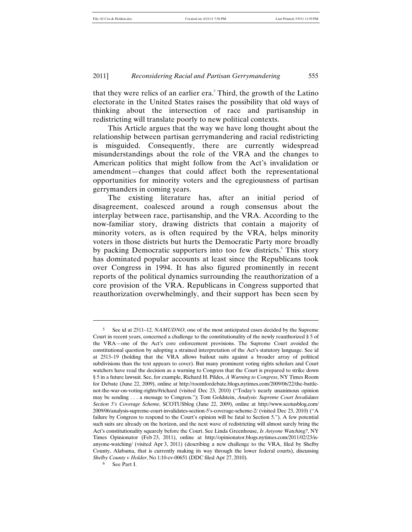that they were relics of an earlier era.<sup>5</sup> Third, the growth of the Latino electorate in the United States raises the possibility that old ways of thinking about the intersection of race and partisanship in redistricting will translate poorly to new political contexts.

This Article argues that the way we have long thought about the relationship between partisan gerrymandering and racial redistricting is misguided. Consequently, there are currently widespread misunderstandings about the role of the VRA and the changes to American politics that might follow from the Act's invalidation or amendment—changes that could affect both the representational opportunities for minority voters and the egregiousness of partisan gerrymanders in coming years.

The existing literature has, after an initial period of disagreement, coalesced around a rough consensus about the interplay between race, partisanship, and the VRA. According to the now-familiar story, drawing districts that contain a majority of minority voters, as is often required by the VRA, helps minority voters in those districts but hurts the Democratic Party more broadly by packing Democratic supporters into too few districts.<sup>6</sup> This story has dominated popular accounts at least since the Republicans took over Congress in 1994. It has also figured prominently in recent reports of the political dynamics surrounding the reauthorization of a core provision of the VRA. Republicans in Congress supported that reauthorization overwhelmingly, and their support has been seen by

6 See Part I.

<sup>5</sup> See id at 2511–12. *NAMUDNO*, one of the most anticipated cases decided by the Supreme Court in recent years, concerned a challenge to the constitutionality of the newly reauthorized § 5 of the VRA—one of the Act's core enforcement provisions. The Supreme Court avoided the constitutional question by adopting a strained interpretation of the Act's statutory language. See id at 2513–19 (holding that the VRA allows bailout suits against a broader array of political subdivisions than the text appears to cover). But many prominent voting rights scholars and Court watchers have read the decision as a warning to Congress that the Court is prepared to strike down § 5 in a future lawsuit. See, for example, Richard H. Pildes, *A Warning to Congress*, NY Times Room for Debate (June 22, 2009), online at http://roomfordebate.blogs.nytimes.com/2009/06/22/the-battlenot-the-war-on-voting-rights/#richard (visited Dec 23, 2010) ("Today's nearly unanimous opinion may be sending . . . a message to Congress."); Tom Goldstein, *Analysis: Supreme Court Invalidates Section 5's Coverage Scheme*, SCOTUSblog (June 22, 2009), online at http://www.scotusblog.com/ 2009/06/analysis-supreme-court-invalidates-section-5's-coverage-scheme-2/ (visited Dec 23, 2010) ("A failure by Congress to respond to the Court's opinion will be fatal to Section 5."). A few potential such suits are already on the horizon, and the next wave of redistricting will almost surely bring the Act's constitutionality squarely before the Court. See Linda Greenhouse, *Is Anyone Watching?*, NY Times Opinionator (Feb 23, 2011), online at http://opinionator.blogs.nytimes.com/2011/02/23/isanyone-watching/ (visited Apr 3, 2011) (describing a new challenge to the VRA, filed by Shelby County, Alabama, that is currently making its way through the lower federal courts), discussing *Shelby County v Holder*, No 1:10-cv-00651 (DDC filed Apr 27, 2010).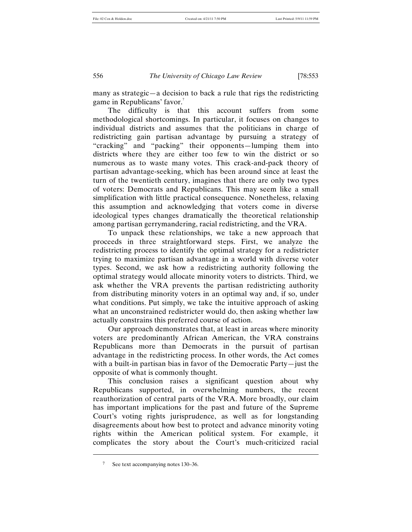many as strategic—a decision to back a rule that rigs the redistricting game in Republicans' favor.<sup>7</sup>

The difficulty is that this account suffers from some methodological shortcomings. In particular, it focuses on changes to individual districts and assumes that the politicians in charge of redistricting gain partisan advantage by pursuing a strategy of "cracking" and "packing" their opponents—lumping them into districts where they are either too few to win the district or so numerous as to waste many votes. This crack-and-pack theory of partisan advantage-seeking, which has been around since at least the turn of the twentieth century, imagines that there are only two types of voters: Democrats and Republicans. This may seem like a small simplification with little practical consequence. Nonetheless, relaxing this assumption and acknowledging that voters come in diverse ideological types changes dramatically the theoretical relationship among partisan gerrymandering, racial redistricting, and the VRA.

To unpack these relationships, we take a new approach that proceeds in three straightforward steps. First, we analyze the redistricting process to identify the optimal strategy for a redistricter trying to maximize partisan advantage in a world with diverse voter types. Second, we ask how a redistricting authority following the optimal strategy would allocate minority voters to districts. Third, we ask whether the VRA prevents the partisan redistricting authority from distributing minority voters in an optimal way and, if so, under what conditions. Put simply, we take the intuitive approach of asking what an unconstrained redistricter would do, then asking whether law actually constrains this preferred course of action.

Our approach demonstrates that, at least in areas where minority voters are predominantly African American, the VRA constrains Republicans more than Democrats in the pursuit of partisan advantage in the redistricting process. In other words, the Act comes with a built-in partisan bias in favor of the Democratic Party—just the opposite of what is commonly thought.

This conclusion raises a significant question about why Republicans supported, in overwhelming numbers, the recent reauthorization of central parts of the VRA. More broadly, our claim has important implications for the past and future of the Supreme Court's voting rights jurisprudence, as well as for longstanding disagreements about how best to protect and advance minority voting rights within the American political system. For example, it complicates the story about the Court's much-criticized racial

<sup>7</sup> See text accompanying notes 130–36.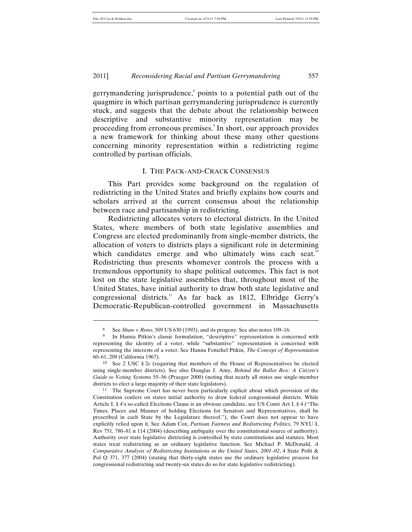l

2011] *Reconsidering Racial and Partisan Gerrymandering* 557

gerrymandering jurisprudence, $\delta$  points to a potential path out of the quagmire in which partisan gerrymandering jurisprudence is currently stuck, and suggests that the debate about the relationship between descriptive and substantive minority representation may be proceeding from erroneous premises.<sup>9</sup> In short, our approach provides a new framework for thinking about these many other questions concerning minority representation within a redistricting regime controlled by partisan officials.

## I. THE PACK-AND-CRACK CONSENSUS

This Part provides some background on the regulation of redistricting in the United States and briefly explains how courts and scholars arrived at the current consensus about the relationship between race and partisanship in redistricting.

Redistricting allocates voters to electoral districts. In the United States, where members of both state legislative assemblies and Congress are elected predominantly from single-member districts, the allocation of voters to districts plays a significant role in determining which candidates emerge and who ultimately wins each seat.<sup>10</sup> Redistricting thus presents whomever controls the process with a tremendous opportunity to shape political outcomes. This fact is not lost on the state legislative assemblies that, throughout most of the United States, have initial authority to draw both state legislative and congressional districts.<sup>11</sup> As far back as 1812, Elbridge Gerry's Democratic-Republican-controlled government in Massachusetts

<sup>8</sup> See *Shaw v Reno*, 509 US 630 (1993), and its progeny. See also notes 109–16.

In Hanna Pitkin's classic formulation, "descriptive" representation is concerned with representing the identity of a voter, while "substantive" representation is concerned with representing the interests of a voter. See Hanna Fenichel Pitkin, *The Concept of Representation* 60–61, 209 (California 1967).

<sup>&</sup>lt;sup>10</sup> See 2 USC  $\S 2c$  (requiring that members of the House of Representatives be elected using single-member districts). See also Douglas J. Amy, *Behind the Ballot Box: A Citizen's Guide to Voting Systems* 55–56 (Praeger 2000) (noting that nearly all states use single-member districts to elect a large majority of their state legislators).

<sup>11</sup> The Supreme Court has never been particularly explicit about which provision of the Constitution confers on states initial authority to draw federal congressional districts. While Article I, § 4's so-called Elections Clause is an obvious candidate, see US Const Art I, § 4 ("The Times, Places and Manner of holding Elections for Senators and Representatives, shall be prescribed in each State by the Legislature thereof."), the Court does not appear to have explicitly relied upon it. See Adam Cox, *Partisan Fairness and Redistricting Politics*, 79 NYU L Rev 751, 780–81 n 114 (2004) (describing ambiguity over the constitutional source of authority). Authority over state legislative districting is controlled by state constitutions and statutes. Most states treat redistricting as an ordinary legislative function. See Michael P. McDonald, *A Comparative Analysis of Redistricting Institutions in the United States, 2001–02*, 4 State Polit & Pol Q 371, 377 (2004) (stating that thirty-eight states use the ordinary legislative process for congressional redistricting and twenty-six states do so for state legislative redistricting).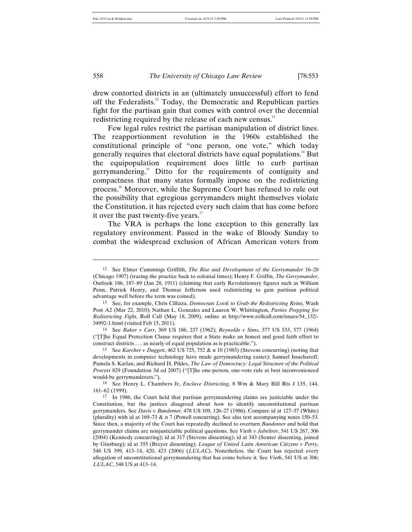drew contorted districts in an (ultimately unsuccessful) effort to fend off the Federalists.12 Today, the Democratic and Republican parties fight for the partisan gain that comes with control over the decennial redistricting required by the release of each new census.<sup>13</sup>

Few legal rules restrict the partisan manipulation of district lines. The reapportionment revolution in the 1960s established the constitutional principle of "one person, one vote," which today generally requires that electoral districts have equal populations.<sup>14</sup> But the equipopulation requirement does little to curb partisan gerrymandering.<sup>15</sup> Ditto for the requirements of contiguity and compactness that many states formally impose on the redistricting process.16 Moreover, while the Supreme Court has refused to rule out the possibility that egregious gerrymanders might themselves violate the Constitution, it has rejected every such claim that has come before it over the past twenty-five years. $17$ 

The VRA is perhaps the lone exception to this generally lax regulatory environment. Passed in the wake of Bloody Sunday to combat the widespread exclusion of African American voters from

14 See *Baker v Carr*, 369 US 186, 237 (1962); *Reynolds v Sims*, 377 US 533, 577 (1964) ("[T]he Equal Protection Clause requires that a State make an honest and good faith effort to construct districts . . . as nearly of equal population as is practicable.").

15 See *Karcher v Daggett*, 462 US 725, 752 & n 10 (1983) (Stevens concurring) (noting that developments in computer technology have made gerrymandering easier); Samuel Issacharoff, Pamela S. Karlan, and Richard H. Pildes, *The Law of Democracy: Legal Structure of the Political Process* 829 (Foundation 3d ed 2007) ("[T]he one-person, one-vote rule at best inconvenienced would-be gerrymanderers.").

16 See Henry L. Chambers Jr, *Enclave Districting*, 8 Wm & Mary Bill Rts J 135, 144, 161–62 (1999).

<sup>12</sup> See Elmer Cummings Griffith, *The Rise and Development of the Gerrymander* 16–20 (Chicago 1907) (tracing the practice back to colonial times); Henry F. Griffin, *The Gerrymander*, Outlook 186, 187–89 (Jan 28, 1911) (claiming that early Revolutionary figures such as William Penn, Patrick Henry, and Thomas Jefferson used redistricting to gain partisan political advantage well before the term was coined).

<sup>13</sup> See, for example, Chris Cillizza, *Democrats Look to Grab the Redistricting Reins*, Wash Post A2 (Mar 22, 2010); Nathan L. Gonzales and Lauren W. Whittington, *Parties Prepping for Redistricting Fight*, Roll Call (May 18, 2009), online at http://www.rollcall.com/issues/54\_132/- 34992-1.html (visited Feb 15, 2011).

<sup>17</sup> In 1986, the Court held that partisan gerrymandering claims are justiciable under the Constitution, but the justices disagreed about how to identify unconstitutional partisan gerrymanders. See *Davis v Bandemer*, 478 US 109, 126–27 (1986). Compare id at 127–37 (White) (plurality) with id at 169–73 & n 7 (Powell concurring). See also text accompanying notes 150–53. Since then, a majority of the Court has repeatedly declined to overturn *Bandemer* and hold that gerrymander claims are nonjusticiable political questions. See *Vieth v Jubelirer*, 541 US 267, 306 (2004) (Kennedy concurring); id at 317 (Stevens dissenting); id at 343 (Souter dissenting, joined by Ginsburg); id at 355 (Breyer dissenting); *League of United Latin American Citizens v Perry*, 548 US 399, 413–14, 420, 423 (2006) (*LULAC*). Nonetheless, the Court has rejected every allegation of unconstitutional gerrymandering that has come before it. See *Vieth*, 541 US at 306; *LULAC*, 548 US at 413–14.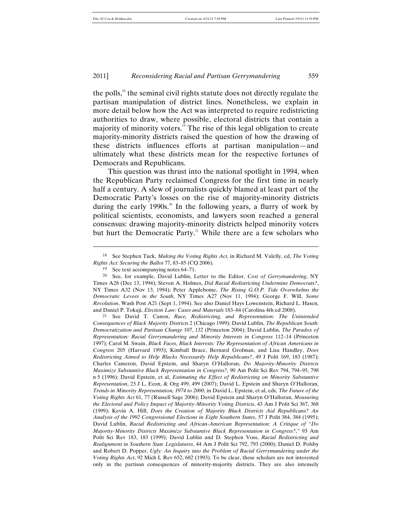the polls,<sup>18</sup> the seminal civil rights statute does not directly regulate the partisan manipulation of district lines. Nonetheless, we explain in more detail below how the Act was interpreted to require redistricting authorities to draw, where possible, electoral districts that contain a majority of minority voters. $19$  The rise of this legal obligation to create majority-minority districts raised the question of how the drawing of these districts influences efforts at partisan manipulation—and ultimately what these districts mean for the respective fortunes of Democrats and Republicans.

This question was thrust into the national spotlight in 1994, when the Republican Party reclaimed Congress for the first time in nearly half a century. A slew of journalists quickly blamed at least part of the Democratic Party's losses on the rise of majority-minority districts during the early 1990s.<sup>20</sup> In the following years, a flurry of work by political scientists, economists, and lawyers soon reached a general consensus: drawing majority-minority districts helped minority voters but hurt the Democratic Party.<sup>21</sup> While there are a few scholars who

<sup>18</sup> See Stephen Tuck, *Making the Voting Rights Act*, in Richard M. Valelly, ed, *The Voting Rights Act: Securing the Ballot* 77, 83–85 (CQ 2006).

<sup>19</sup> See text accompanying notes 64–71.

<sup>20</sup> See, for example, David Lublin, Letter to the Editor, *Cost of Gerrymandering*, NY Times A28 (Dec 13, 1994); Steven A. Holmes, *Did Racial Redistricting Undermine Democrats?*, NY Times A32 (Nov 13, 1994); Peter Applebome, *The Rising G.O.P. Tide Overwhelms the Democratic Levees in the South*, NY Times A27 (Nov 11, 1994); George F. Will, *Some Revolution*, Wash Post A21 (Sept 1, 1994). See also Daniel Hays Lowenstein, Richard L. Hasen, and Daniel P. Tokaji, *Election Law: Cases and Materials* 183–84 (Carolina 4th ed 2008).

<sup>21</sup> See David T. Canon, *Race, Redistricting, and Representation: The Unintended Consequences of Black Majority Districts* 2 (Chicago 1999); David Lublin, *The Republican South: Democratization and Partisan Change* 107, 132 (Princeton 2004); David Lublin, *The Paradox of Representation: Racial Gerrymandering and Minority Interests in Congress* 112–14 (Princeton 1997); Carol M. Swain, *Black Faces, Black Interests: The Representation of African Americans in Congress* 205 (Harvard 1993); Kimball Brace, Bernard Grofman, and Lisa Handley, *Does Redistricting Aimed to Help Blacks Necessarily Help Republicans?*, 49 J Polit 169, 183 (1987); Charles Cameron, David Epstein, and Sharyn O'Halloran, *Do Majority-Minority Districts Maximize Substantive Black Representation in Congress?*, 90 Am Polit Sci Rev 794, 794–95, 798 n 5 (1996); David Epstein, et al, *Estimating the Effect of Redistricting on Minority Substantive Representation*, 23 J L, Econ, & Org 499, 499 (2007); David L. Epstein and Sharyn O'Halloran, *Trends in Minority Representation, 1974 to 2000*, in David L. Epstein, et al, eds, *The Future of the Voting Rights Act* 61, 77 (Russell Sage 2006); David Epstein and Sharyn O'Halloran, *Measuring the Electoral and Policy Impact of Majority-Minority Voting Districts*, 43 Am J Polit Sci 367, 368 (1999); Kevin A. Hill, *Does the Creation of Majority Black Districts Aid Republicans? An Analysis of the 1992 Congressional Elections in Eight Southern States*, 57 J Polit 384, 384 (1995); David Lublin, *Racial Redistricting and African-American Representation: A Critique of "Do Majority-Minority Districts Maximize Substantive Black Representation in Congress?*,*"* 93 Am Polit Sci Rev 183, 183 (1999); David Lublin and D. Stephen Voss, *Racial Redistricting and Realignment in Southern State Legislatures*, 44 Am J Polit Sci 792, 793 (2000); Daniel D. Polsby and Robert D. Popper, *Ugly: An Inquiry into the Problem of Racial Gerrymandering under the Voting Rights Act*, 92 Mich L Rev 652, 682 (1993). To be clear, these scholars are not interested only in the partisan consequences of minority-majority districts. They are also intensely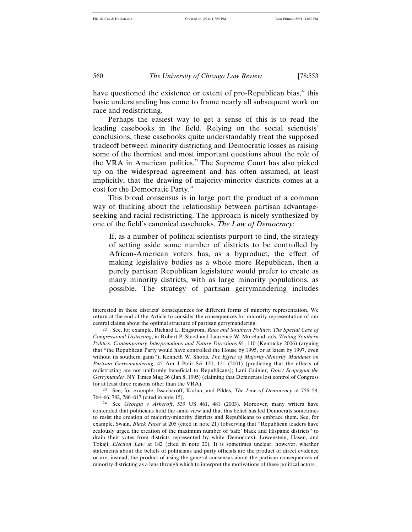have questioned the existence or extent of pro-Republican bias, $2$  this basic understanding has come to frame nearly all subsequent work on race and redistricting.

Perhaps the easiest way to get a sense of this is to read the leading casebooks in the field. Relying on the social scientists' conclusions, these casebooks quite understandably treat the supposed tradeoff between minority districting and Democratic losses as raising some of the thorniest and most important questions about the role of the VRA in American politics.<sup>23</sup> The Supreme Court has also picked up on the widespread agreement and has often assumed, at least implicitly, that the drawing of majority-minority districts comes at a cost for the Democratic Party.<sup>24</sup>

This broad consensus is in large part the product of a common way of thinking about the relationship between partisan advantageseeking and racial redistricting. The approach is nicely synthesized by one of the field's canonical casebooks, *The Law of Democracy*:

If, as a number of political scientists purport to find, the strategy of setting aside some number of districts to be controlled by African-American voters has, as a byproduct, the effect of making legislative bodies as a whole more Republican, then a purely partisan Republican legislature would prefer to create as many minority districts, with as large minority populations, as possible. The strategy of partisan gerrymandering includes

23 See, for example, Issacharoff, Karlan, and Pildes, *The Law of Democracy* at 756–59, 764–66, 782, 786–817 (cited in note 15).

interested in these districts' consequences for different forms of minority representation. We return at the end of the Article to consider the consequences for minority representation of our central claims about the optimal structure of partisan gerrymandering.

<sup>22</sup> See, for example, Richard L. Engstrom, *Race and Southern Politics: The Special Case of Congressional Districting*, in Robert P. Steed and Laurence W. Moreland, eds, *Writing Southern Politics: Contemporary Interpretations and Future Directions* 91, 110 (Kentucky 2006) (arguing that "the Republican Party would have controlled the House by 1995, or at latest by 1997, even without its southern gains"); Kenneth W. Shotts, *The Effect of Majority-Minority Mandates on Partisan Gerrymandering*, 45 Am J Polit Sci 120, 121 (2001) (predicting that the effects of redistricting are not uniformly beneficial to Republicans); Lani Guinier, *Don't Scapegoat the Gerrymander*, NY Times Mag 36 (Jan 8, 1995) (claiming that Democrats lost control of Congress for at least three reasons other than the VRA).

<sup>24</sup> See *Georgia v Ashcroft*, 539 US 461, 481 (2003). Moreover, many writers have contended that politicians hold the same view and that this belief has led Democrats sometimes to resist the creation of majority-minority districts and Republicans to embrace them. See, for example, Swain, *Black Faces* at 205 (cited in note 21) (observing that "Republican leaders have zealously urged the creation of the maximum number of 'safe' black and Hispanic districts" to drain their votes from districts represented by white Democrats); Lowenstein, Hasen, and Tokaji, *Election Law* at 182 (cited in note 20). It is sometimes unclear, however, whether statements about the beliefs of politicians and party officials are the product of direct evidence or are, instead, the product of using the general consensus about the partisan consequences of minority districting as a lens through which to interpret the motivations of these political actors.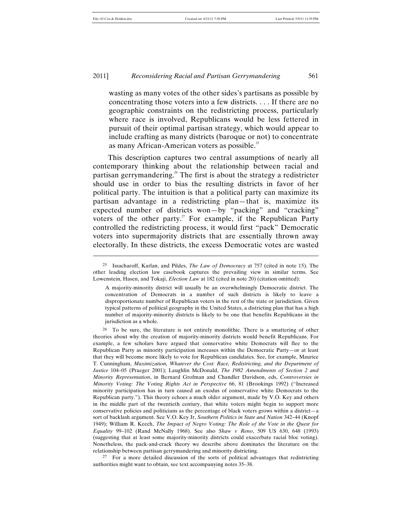l

#### 2011] *Reconsidering Racial and Partisan Gerrymandering* 561

wasting as many votes of the other sides's partisans as possible by concentrating those voters into a few districts. . . . If there are no geographic constraints on the redistricting process, particularly where race is involved, Republicans would be less fettered in pursuit of their optimal partisan strategy, which would appear to include crafting as many districts (baroque or not) to concentrate as many African-American voters as possible.<sup>25</sup>

This description captures two central assumptions of nearly all contemporary thinking about the relationship between racial and partisan gerrymandering.<sup>26</sup> The first is about the strategy a redistricter should use in order to bias the resulting districts in favor of her political party. The intuition is that a political party can maximize its partisan advantage in a redistricting plan—that is, maximize its expected number of districts won—by "packing" and "cracking" voters of the other party.<sup>27</sup> For example, if the Republican Party controlled the redistricting process, it would first "pack" Democratic voters into supermajority districts that are essentially thrown away electorally. In these districts, the excess Democratic votes are wasted

27 For a more detailed discussion of the sorts of political advantages that redistricting authorities might want to obtain, see text accompanying notes 35–38.

<sup>25</sup> Issacharoff, Karlan, and Pildes, *The Law of Democracy* at 757 (cited in note 15). The other leading election law casebook captures the prevailing view in similar terms. See Lowenstein, Hasen, and Tokaji, *Election Law* at 182 (cited in note 20) (citation omitted):

A majority-minority district will usually be an overwhelmingly Democratic district. The concentration of Democrats in a number of such districts is likely to leave a disproportionate number of Republican voters in the rest of the state or jurisdiction. Given typical patterns of political geography in the United States, a districting plan that has a high number of majority-minority districts is likely to be one that benefits Republicans in the jurisdiction as a whole.

<sup>26</sup> To be sure, the literature is not entirely monolithic. There is a smattering of other theories about why the creation of majority-minority districts would benefit Republicans. For example, a few scholars have argued that conservative white Democrats will flee to the Republican Party as minority participation increases within the Democratic Party—or at least that they will become more likely to vote for Republican candidates. See, for example, Maurice T. Cunningham, *Maximization, Whatever the Cost: Race, Redistricting, and the Department of Justice* 104–05 (Praeger 2001); Laughlin McDonald, *The 1982 Amendments of Section 2 and Minority Representation*, in Bernard Grofman and Chandler Davidson, eds, *Controversies in Minority Voting: The Voting Rights Act in Perspective* 66, 81 (Brookings 1992) ("Increased minority participation has in turn caused an exodus of conservative white Democrats to the Republican party."). This theory echoes a much older argument, made by V.O. Key and others in the middle part of the twentieth century, that white voters might begin to support more conservative policies and politicians as the percentage of black voters grows within a district—a sort of backlash argument. See V.O. Key Jr, *Southern Politics in State and Nation* 342–44 (Knopf 1949); William R. Keech, *The Impact of Negro Voting: The Role of the Vote in the Quest for Equality* 99–102 (Rand McNally 1968). See also *Shaw v Reno*, 509 US 630, 648 (1993) (suggesting that at least some majority-minority districts could exacerbate racial bloc voting). Nonetheless, the pack-and-crack theory we describe above dominates the literature on the relationship between partisan gerrymandering and minority districting.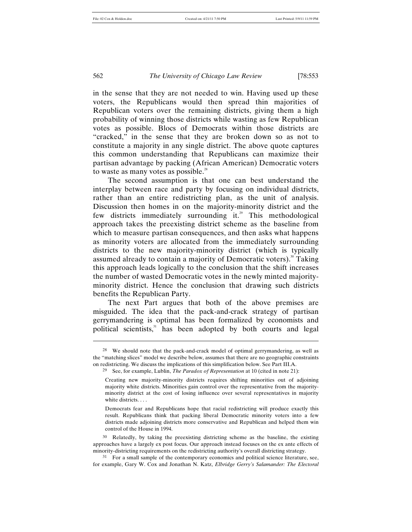in the sense that they are not needed to win. Having used up these voters, the Republicans would then spread thin majorities of Republican voters over the remaining districts, giving them a high probability of winning those districts while wasting as few Republican votes as possible. Blocs of Democrats within those districts are "cracked," in the sense that they are broken down so as not to constitute a majority in any single district. The above quote captures this common understanding that Republicans can maximize their partisan advantage by packing (African American) Democratic voters to waste as many votes as possible. $28$ 

The second assumption is that one can best understand the interplay between race and party by focusing on individual districts, rather than an entire redistricting plan, as the unit of analysis. Discussion then homes in on the majority-minority district and the few districts immediately surrounding it. $^{29}$  This methodological approach takes the preexisting district scheme as the baseline from which to measure partisan consequences, and then asks what happens as minority voters are allocated from the immediately surrounding districts to the new majority-minority district (which is typically assumed already to contain a majority of Democratic voters).<sup>30</sup> Taking this approach leads logically to the conclusion that the shift increases the number of wasted Democratic votes in the newly minted majorityminority district. Hence the conclusion that drawing such districts benefits the Republican Party.

The next Part argues that both of the above premises are misguided. The idea that the pack-and-crack strategy of partisan gerrymandering is optimal has been formalized by economists and political scientists,<sup>31</sup> has been adopted by both courts and legal

30 Relatedly, by taking the preexisting districting scheme as the baseline, the existing approaches have a largely ex post focus. Our approach instead focuses on the ex ante effects of minority-districting requirements on the redistricting authority's overall districting strategy.

 $\overline{a}$ 

<sup>28</sup> We should note that the pack-and-crack model of optimal gerrymandering, as well as the "matching slices" model we describe below, assumes that there are no geographic constraints on redistricting. We discuss the implications of this simplification below. See Part III.A.

<sup>29</sup> See, for example, Lublin, *The Paradox of Representation* at 10 (cited in note 21):

Creating new majority-minority districts requires shifting minorities out of adjoining majority white districts. Minorities gain control over the representative from the majorityminority district at the cost of losing influence over several representatives in majority white districts. . . .

Democrats fear and Republicans hope that racial redistricting will produce exactly this result. Republicans think that packing liberal Democratic minority voters into a few districts made adjoining districts more conservative and Republican and helped them win control of the House in 1994.

<sup>&</sup>lt;sup>31</sup> For a small sample of the contemporary economics and political science literature, see, for example, Gary W. Cox and Jonathan N. Katz, *Elbridge Gerry's Salamander: The Electoral*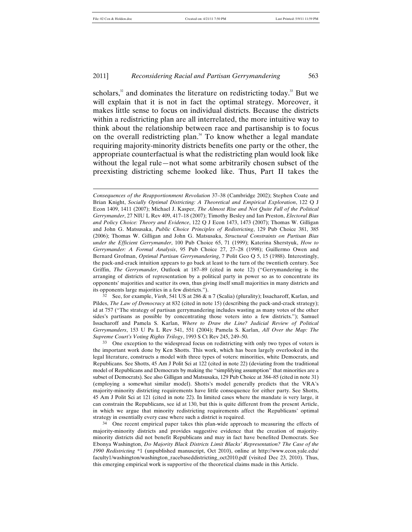$\overline{a}$ 

#### 2011] *Reconsidering Racial and Partisan Gerrymandering* 563

scholars, $32$  and dominates the literature on redistricting today.<sup>33</sup> But we will explain that it is not in fact the optimal strategy. Moreover, it makes little sense to focus on individual districts. Because the districts within a redistricting plan are all interrelated, the more intuitive way to think about the relationship between race and partisanship is to focus on the overall redistricting plan.<sup>34</sup> To know whether a legal mandate requiring majority-minority districts benefits one party or the other, the appropriate counterfactual is what the redistricting plan would look like without the legal rule—not what some arbitrarily chosen subset of the preexisting districting scheme looked like. Thus, Part II takes the

See, for example, *Vieth*, 541 US at 286 & n 7 (Scalia) (plurality); Issacharoff, Karlan, and Pildes, *The Law of Democracy* at 832 (cited in note 15) (describing the pack-and-crack strategy); id at 757 ("The strategy of partisan gerrymandering includes wasting as many votes of the other sides's partisans as possible by concentrating those voters into a few districts."); Samuel Issacharoff and Pamela S. Karlan, *Where to Draw the Line? Judicial Review of Political Gerrymanders*, 153 U Pa L Rev 541, 551 (2004); Pamela S. Karlan, *All Over the Map: The Supreme Court's Voting Rights Trilogy*, 1993 S Ct Rev 245, 249–50.

33 One exception to the widespread focus on redistricting with only two types of voters is the important work done by Ken Shotts. This work, which has been largely overlooked in the legal literature, constructs a model with three types of voters: minorities, white Democrats, and Republicans. See Shotts, 45 Am J Polit Sci at 122 (cited in note 22) (deviating from the traditional model of Republicans and Democrats by making the "simplifying assumption" that minorities are a subset of Democrats). See also Gilligan and Matsusaka, 129 Pub Choice at 384–85 (cited in note 31) (employing a somewhat similar model). Shotts's model generally predicts that the VRA's majority-minority districting requirements have little consequence for either party. See Shotts, 45 Am J Polit Sci at 121 (cited in note 22). In limited cases where the mandate is very large, it can constrain the Republicans, see id at 130, but this is quite different from the present Article, in which we argue that minority redistricting requirements affect the Republicans' optimal strategy in essentially every case where such a district is required.

<sup>34</sup> One recent empirical paper takes this plan-wide approach to measuring the effects of majority-minority districts and provides suggestive evidence that the creation of majorityminority districts did not benefit Republicans and may in fact have benefited Democrats. See Ebonya Washington, *Do Majority Black Districts Limit Blacks' Representation? The Case of the 1990 Redistricting* \*1 (unpublished manuscript, Oct 2010), online at http://www.econ.yale.edu/ faculty1/washington/washington\_racebaseddistricting\_oct2010.pdf (visited Dec 23, 2010). Thus, this emerging empirical work is supportive of the theoretical claims made in this Article.

*Consequences of the Reapportionment Revolution* 37–38 (Cambridge 2002); Stephen Coate and Brian Knight, *Socially Optimal Districting: A Theoretical and Empirical Exploration*, 122 Q J Econ 1409, 1411 (2007); Michael J. Kasper, *The Almost Rise and Not Quite Fall of the Political Gerrymander*, 27 NIU L Rev 409, 417–18 (2007); Timothy Besley and Ian Preston, *Electoral Bias and Policy Choice: Theory and Evidence*, 122 Q J Econ 1473, 1473 (2007); Thomas W. Gilligan and John G. Matsusaka, *Public Choice Principles of Redistricting*, 129 Pub Choice 381, 385 (2006); Thomas W. Gilligan and John G. Matsusaka, *Structural Constraints on Partisan Bias under the Efficient Gerrymander*, 100 Pub Choice 65, 71 (1999); Katerina Sherstyuk, *How to Gerrymander: A Formal Analysis*, 95 Pub Choice 27, 27–28 (1998); Guillermo Owen and Bernard Grofman, *Optimal Partisan Gerrymandering*, 7 Polit Geo Q 5, 15 (1988). Interestingly, the pack-and-crack intuition appears to go back at least to the turn of the twentieth century. See Griffin, *The Gerrymander*, Outlook at 187–89 (cited in note 12) ("Gerrymandering is the arranging of districts of representation by a political party in power so as to concentrate its opponents' majorities and scatter its own, thus giving itself small majorities in many districts and its opponents large majorities in a few districts.").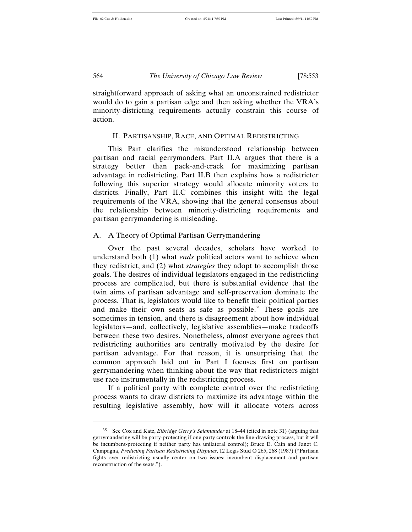straightforward approach of asking what an unconstrained redistricter would do to gain a partisan edge and then asking whether the VRA's minority-districting requirements actually constrain this course of action.

#### II. PARTISANSHIP, RACE, AND OPTIMAL REDISTRICTING

This Part clarifies the misunderstood relationship between partisan and racial gerrymanders. Part II.A argues that there is a strategy better than pack-and-crack for maximizing partisan advantage in redistricting. Part II.B then explains how a redistricter following this superior strategy would allocate minority voters to districts. Finally, Part II.C combines this insight with the legal requirements of the VRA, showing that the general consensus about the relationship between minority-districting requirements and partisan gerrymandering is misleading.

#### A. A Theory of Optimal Partisan Gerrymandering

Over the past several decades, scholars have worked to understand both (1) what *ends* political actors want to achieve when they redistrict, and (2) what *strategies* they adopt to accomplish those goals. The desires of individual legislators engaged in the redistricting process are complicated, but there is substantial evidence that the twin aims of partisan advantage and self-preservation dominate the process. That is, legislators would like to benefit their political parties and make their own seats as safe as possible. $35$  These goals are sometimes in tension, and there is disagreement about how individual legislators—and, collectively, legislative assemblies—make tradeoffs between these two desires. Nonetheless, almost everyone agrees that redistricting authorities are centrally motivated by the desire for partisan advantage. For that reason, it is unsurprising that the common approach laid out in Part I focuses first on partisan gerrymandering when thinking about the way that redistricters might use race instrumentally in the redistricting process.

If a political party with complete control over the redistricting process wants to draw districts to maximize its advantage within the resulting legislative assembly, how will it allocate voters across

<sup>35</sup> See Cox and Katz, *Elbridge Gerry's Salamander* at 18–44 (cited in note 31) (arguing that gerrymandering will be party-protecting if one party controls the line-drawing process, but it will be incumbent-protecting if neither party has unilateral control); Bruce E. Cain and Janet C. Campagna, *Predicting Partisan Redistricting Disputes*, 12 Legis Stud Q 265, 268 (1987) ("Partisan fights over redistricting usually center on two issues: incumbent displacement and partisan reconstruction of the seats.").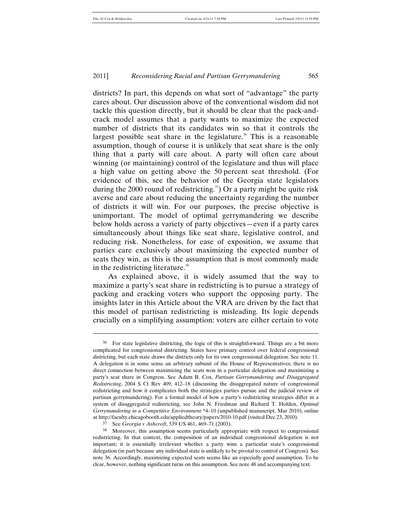l

#### 2011] *Reconsidering Racial and Partisan Gerrymandering* 565

districts? In part, this depends on what sort of "advantage" the party cares about. Our discussion above of the conventional wisdom did not tackle this question directly, but it should be clear that the pack-andcrack model assumes that a party wants to maximize the expected number of districts that its candidates win so that it controls the largest possible seat share in the legislature.<sup>36</sup> This is a reasonable assumption, though of course it is unlikely that seat share is the only thing that a party will care about. A party will often care about winning (or maintaining) control of the legislature and thus will place a high value on getting above the 50 percent seat threshold. (For evidence of this, see the behavior of the Georgia state legislators during the 2000 round of redistricting.<sup>37</sup> Or a party might be quite risk averse and care about reducing the uncertainty regarding the number of districts it will win. For our purposes, the precise objective is unimportant. The model of optimal gerrymandering we describe below holds across a variety of party objectives—even if a party cares simultaneously about things like seat share, legislative control, and reducing risk. Nonetheless, for ease of exposition, we assume that parties care exclusively about maximizing the expected number of seats they win, as this is the assumption that is most commonly made in the redistricting literature.<sup>38</sup>

As explained above, it is widely assumed that the way to maximize a party's seat share in redistricting is to pursue a strategy of packing and cracking voters who support the opposing party. The insights later in this Article about the VRA are driven by the fact that this model of partisan redistricting is misleading. Its logic depends crucially on a simplifying assumption: voters are either certain to vote

<sup>36</sup> For state legislative districting, the logic of this is straightforward. Things are a bit more complicated for congressional districting. States have primary control over federal congressional districting, but each state draws the districts only for its own congressional delegation. See note 11. A delegation is in some sense an arbitrary subunit of the House of Representatives; there is no direct connection between maximizing the seats won in a particular delegation and maximizing a party's seat share in Congress. See Adam B. Cox, *Partisan Gerrymandering and Disaggregated Redistricting*, 2004 S Ct Rev 409, 412–18 (discussing the disaggregated nature of congressional redistricting and how it complicates both the strategies parties pursue and the judicial review of partisan gerrymandering). For a formal model of how a party's redistricting strategies differ in a system of disaggregated redistricting, see John N. Friedman and Richard T. Holden, *Optimal Gerrymandering in a Competitive Environment* \*4–10 (unpublished manuscript, Mar 2010), online at http://faculty.chicagobooth.edu/appliedtheory/papers/2010-10.pdf (visited Dec 23, 2010).

<sup>37</sup> See *Georgia v Ashcroft*, 539 US 461, 469–71 (2003).

<sup>38</sup> Moreover, this assumption seems particularly appropriate with respect to congressional redistricting. In that context, the composition of an individual congressional delegation is not important; it is essentially irrelevant whether a party wins a particular state's congressional delegation (in part because any individual state is unlikely to be pivotal to control of Congress). See note 36. Accordingly, maximizing expected seats seems like an especially good assumption. To be clear, however, nothing significant turns on this assumption. See note 48 and accompanying text.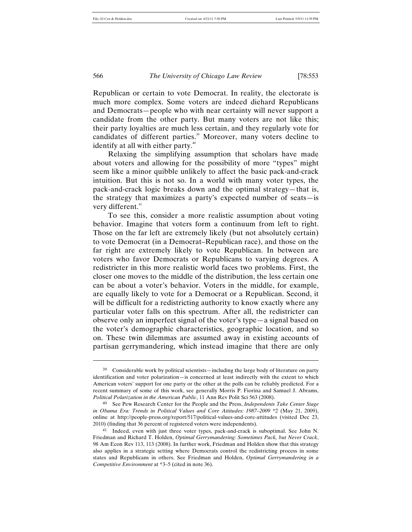Republican or certain to vote Democrat. In reality, the electorate is much more complex. Some voters are indeed diehard Republicans and Democrats—people who with near certainty will never support a candidate from the other party. But many voters are not like this; their party loyalties are much less certain, and they regularly vote for candidates of different parties.<sup>39</sup> Moreover, many voters decline to identify at all with either party.<sup>40</sup>

Relaxing the simplifying assumption that scholars have made about voters and allowing for the possibility of more "types" might seem like a minor quibble unlikely to affect the basic pack-and-crack intuition. But this is not so. In a world with many voter types, the pack-and-crack logic breaks down and the optimal strategy—that is, the strategy that maximizes a party's expected number of seats—is very different.<sup>41</sup>

To see this, consider a more realistic assumption about voting behavior. Imagine that voters form a continuum from left to right. Those on the far left are extremely likely (but not absolutely certain) to vote Democrat (in a Democrat–Republican race), and those on the far right are extremely likely to vote Republican. In between are voters who favor Democrats or Republicans to varying degrees. A redistricter in this more realistic world faces two problems. First, the closer one moves to the middle of the distribution, the less certain one can be about a voter's behavior. Voters in the middle, for example, are equally likely to vote for a Democrat or a Republican. Second, it will be difficult for a redistricting authority to know exactly where any particular voter falls on this spectrum. After all, the redistricter can observe only an imperfect signal of the voter's type—a signal based on the voter's demographic characteristics, geographic location, and so on. These twin dilemmas are assumed away in existing accounts of partisan gerrymandering, which instead imagine that there are only

<sup>39</sup> Considerable work by political scientists—including the large body of literature on party identification and voter polarization—is concerned at least indirectly with the extent to which American voters' support for one party or the other at the polls can be reliably predicted. For a recent summary of some of this work, see generally Morris P. Fiorina and Samuel J. Abrams, *Political Polarization in the American Public*, 11 Ann Rev Polit Sci 563 (2008).

<sup>40</sup> See Pew Research Center for the People and the Press, *Independents Take Center Stage in Obama Era: Trends in Political Values and Core Attitudes: 1987–2009* \*2 (May 21, 2009), online at http://people-press.org/report/517/political-values-and-core-attitudes (visited Dec 23, 2010) (finding that 36 percent of registered voters were independents).

<sup>41</sup> Indeed, even with just three voter types, pack-and-crack is suboptimal. See John N. Friedman and Richard T. Holden, *Optimal Gerrymandering: Sometimes Pack, but Never Crack*, 98 Am Econ Rev 113, 113 (2008). In further work, Friedman and Holden show that this strategy also applies in a strategic setting where Democrats control the redistricting process in some states and Republicans in others. See Friedman and Holden, *Optimal Gerrymandering in a Competitive Environment* at \*3–5 (cited in note 36).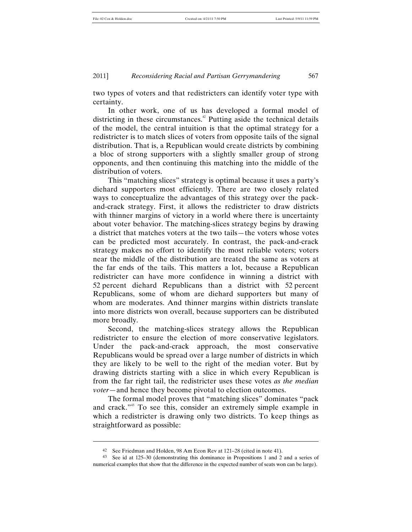two types of voters and that redistricters can identify voter type with certainty.

In other work, one of us has developed a formal model of districting in these circumstances. <sup>42</sup> Putting aside the technical details of the model, the central intuition is that the optimal strategy for a redistricter is to match slices of voters from opposite tails of the signal distribution. That is, a Republican would create districts by combining a bloc of strong supporters with a slightly smaller group of strong opponents, and then continuing this matching into the middle of the distribution of voters.

This "matching slices" strategy is optimal because it uses a party's diehard supporters most efficiently. There are two closely related ways to conceptualize the advantages of this strategy over the packand-crack strategy. First, it allows the redistricter to draw districts with thinner margins of victory in a world where there is uncertainty about voter behavior. The matching-slices strategy begins by drawing a district that matches voters at the two tails—the voters whose votes can be predicted most accurately. In contrast, the pack-and-crack strategy makes no effort to identify the most reliable voters; voters near the middle of the distribution are treated the same as voters at the far ends of the tails. This matters a lot, because a Republican redistricter can have more confidence in winning a district with 52 percent diehard Republicans than a district with 52 percent Republicans, some of whom are diehard supporters but many of whom are moderates. And thinner margins within districts translate into more districts won overall, because supporters can be distributed more broadly.

Second, the matching-slices strategy allows the Republican redistricter to ensure the election of more conservative legislators. Under the pack-and-crack approach, the most conservative Republicans would be spread over a large number of districts in which they are likely to be well to the right of the median voter. But by drawing districts starting with a slice in which every Republican is from the far right tail, the redistricter uses these votes *as the median voter*—and hence they become pivotal to election outcomes.

The formal model proves that "matching slices" dominates "pack and crack."43 To see this, consider an extremely simple example in which a redistricter is drawing only two districts. To keep things as straightforward as possible:

<sup>42</sup> See Friedman and Holden, 98 Am Econ Rev at 121–28 (cited in note 41).

<sup>43</sup> See id at 125–30 (demonstrating this dominance in Propositions 1 and 2 and a series of numerical examples that show that the difference in the expected number of seats won can be large).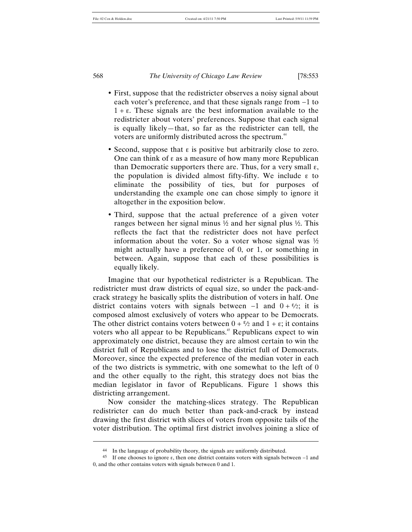- First, suppose that the redistricter observes a noisy signal about each voter's preference, and that these signals range from −1 to  $1 + \varepsilon$ . These signals are the best information available to the redistricter about voters' preferences. Suppose that each signal is equally likely—that, so far as the redistricter can tell, the voters are uniformly distributed across the spectrum.<sup>44</sup>
- Second, suppose that ε is positive but arbitrarily close to zero. One can think of ε as a measure of how many more Republican than Democratic supporters there are. Thus, for a very small  $\varepsilon$ , the population is divided almost fifty-fifty. We include ε to eliminate the possibility of ties, but for purposes of understanding the example one can chose simply to ignore it altogether in the exposition below.
- Third, suppose that the actual preference of a given voter ranges between her signal minus ½ and her signal plus ½. This reflects the fact that the redistricter does not have perfect information about the voter. So a voter whose signal was ½ might actually have a preference of 0, or 1, or something in between. Again, suppose that each of these possibilities is equally likely.

Imagine that our hypothetical redistricter is a Republican. The redistricter must draw districts of equal size, so under the pack-andcrack strategy he basically splits the distribution of voters in half. One district contains voters with signals between  $-1$  and  $0 + \frac{\epsilon}{2}$ ; it is composed almost exclusively of voters who appear to be Democrats. The other district contains voters between  $0 + \frac{\epsilon}{2}$  and  $1 + \epsilon$ ; it contains voters who all appear to be Republicans.<sup>45</sup> Republicans expect to win approximately one district, because they are almost certain to win the district full of Republicans and to lose the district full of Democrats. Moreover, since the expected preference of the median voter in each of the two districts is symmetric, with one somewhat to the left of 0 and the other equally to the right, this strategy does not bias the median legislator in favor of Republicans. Figure 1 shows this districting arrangement.

Now consider the matching-slices strategy. The Republican redistricter can do much better than pack-and-crack by instead drawing the first district with slices of voters from opposite tails of the voter distribution. The optimal first district involves joining a slice of

<sup>44</sup> In the language of probability theory, the signals are uniformly distributed.

<sup>45</sup> If one chooses to ignore ε, then one district contains voters with signals between −1 and 0, and the other contains voters with signals between 0 and 1.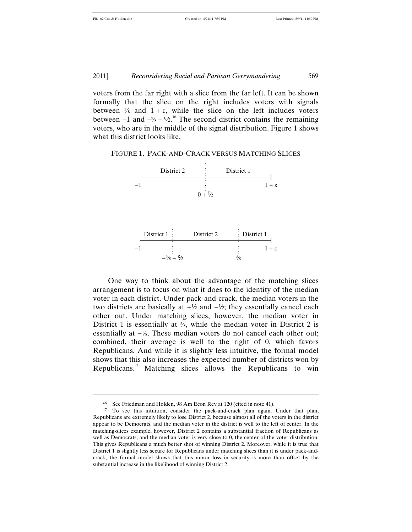File: 02 Cox & Holden.doc Created on: 4/21/11 7:50 PM Last Printed: 5/9/11 11:59 PM

voters from the far right with a slice from the far left. It can be shown formally that the slice on the right includes voters with signals between  $\frac{3}{8}$  and  $1 + \varepsilon$ , while the slice on the left includes voters between  $-1$  and  $-5/8 - 5/2$ <sup>46</sup>. The second district contains the remaining voters, who are in the middle of the signal distribution. Figure 1 shows what this district looks like.

FIGURE 1. PACK-AND-CRACK VERSUS MATCHING SLICES



 other out. Under matching slices, however, the median voter in One way to think about the advantage of the matching slices arrangement is to focus on what it does to the identity of the median voter in each district. Under pack-and-crack, the median voters in the two districts are basically at +½ and −½; they essentially cancel each District 1 is essentially at <sup>3</sup>/<sub>8</sub>, while the median voter in District 2 is essentially at −⅛. These median voters do not cancel each other out; combined, their average is well to the right of 0, which favors Republicans. And while it is slightly less intuitive, the formal model shows that this also increases the expected number of districts won by Republicans.47 Matching slices allows the Republicans to win

<sup>46</sup> See Friedman and Holden, 98 Am Econ Rev at 120 (cited in note 41).

<sup>47</sup> To see this intuition, consider the pack-and-crack plan again. Under that plan, Republicans are extremely likely to lose District 2, because almost all of the voters in the district appear to be Democrats, and the median voter in the district is well to the left of center. In the matching-slices example, however, District 2 contains a substantial fraction of Republicans as well as Democrats, and the median voter is very close to 0, the center of the voter distribution. This gives Republicans a much better shot of winning District 2. Moreover, while it is true that District 1 is slightly less secure for Republicans under matching slices than it is under pack-andcrack, the formal model shows that this minor loss in security is more than offset by the substantial increase in the likelihood of winning District 2.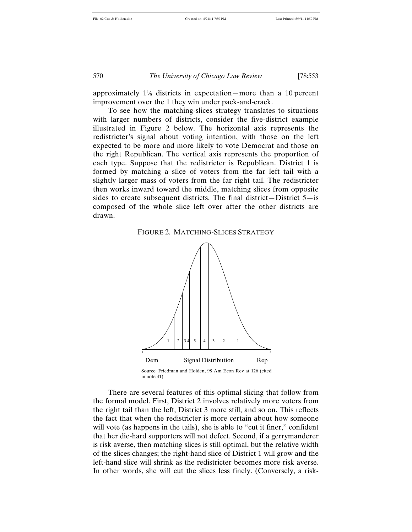approximately 1⅛ districts in expectation—more than a 10 percent improvement over the 1 they win under pack-and-crack.

To see how the matching-slices strategy translates to situations with larger numbers of districts, consider the five-district example illustrated in Figure 2 below. The horizontal axis represents the redistricter's signal about voting intention, with those on the left expected to be more and more likely to vote Democrat and those on the right Republican. The vertical axis represents the proportion of each type. Suppose that the redistricter is Republican. District 1 is formed by matching a slice of voters from the far left tail with a slightly larger mass of voters from the far right tail. The redistricter then works inward toward the middle, matching slices from opposite sides to create subsequent districts. The final district—District  $5 -$ is composed of the whole slice left over after the other districts are drawn.

#### FIGURE 2. MATCHING-SLICES STRATEGY



There are several features of this optimal slicing that follow from the formal model. First, District 2 involves relatively more voters from the right tail than the left, District 3 more still, and so on. This reflects the fact that when the redistricter is more certain about how someone will vote (as happens in the tails), she is able to "cut it finer," confident that her die-hard supporters will not defect. Second, if a gerrymanderer is risk averse, then matching slices is still optimal, but the relative width of the slices changes; the right-hand slice of District 1 will grow and the left-hand slice will shrink as the redistricter becomes more risk averse. In other words, she will cut the slices less finely. (Conversely, a risk-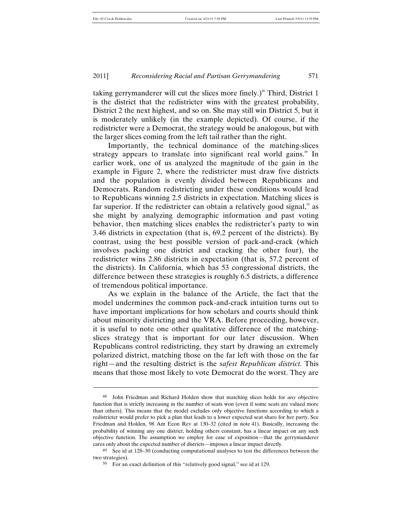l

#### 2011] *Reconsidering Racial and Partisan Gerrymandering* 571

taking gerrymanderer will cut the slices more finely.)<sup>48</sup> Third, District 1 is the district that the redistricter wins with the greatest probability, District 2 the next highest, and so on. She may still win District 5, but it is moderately unlikely (in the example depicted). Of course, if the redistricter were a Democrat, the strategy would be analogous, but with the larger slices coming from the left tail rather than the right.

Importantly, the technical dominance of the matching-slices strategy appears to translate into significant real world gains.<sup>49</sup> In earlier work, one of us analyzed the magnitude of the gain in the example in Figure 2, where the redistricter must draw five districts and the population is evenly divided between Republicans and Democrats. Random redistricting under these conditions would lead to Republicans winning 2.5 districts in expectation. Matching slices is far superior. If the redistricter can obtain a relatively good signal, $\degree$  as she might by analyzing demographic information and past voting behavior, then matching slices enables the redistricter's party to win 3.46 districts in expectation (that is, 69.2 percent of the districts). By contrast, using the best possible version of pack-and-crack (which involves packing one district and cracking the other four), the redistricter wins 2.86 districts in expectation (that is, 57.2 percent of the districts). In California, which has 53 congressional districts, the difference between these strategies is roughly 6.5 districts, a difference of tremendous political importance.

As we explain in the balance of the Article, the fact that the model undermines the common pack-and-crack intuition turns out to have important implications for how scholars and courts should think about minority districting and the VRA. Before proceeding, however, it is useful to note one other qualitative difference of the matchingslices strategy that is important for our later discussion. When Republicans control redistricting, they start by drawing an extremely polarized district, matching those on the far left with those on the far right—and the resulting district is the *safest Republican district.* This means that those most likely to vote Democrat do the worst. They are

<sup>48</sup> John Friedman and Richard Holden show that matching slices holds for *any* objective function that is strictly increasing in the number of seats won (even if some seats are valued more than others). This means that the model excludes only objective functions according to which a redistricter would prefer to pick a plan that leads to a lower expected seat share for her party. See Friedman and Holden, 98 Am Econ Rev at 130–32 (cited in note 41). Basically, increasing the probability of winning any one district, holding others constant, has a linear impact on any such objective function. The assumption we employ for ease of exposition—that the gerrymanderer cares only about the expected number of districts—imposes a linear impact directly.

<sup>49</sup> See id at 128–30 (conducting computational analyses to test the differences between the two strategies).

<sup>50</sup> For an exact definition of this "relatively good signal," see id at 129.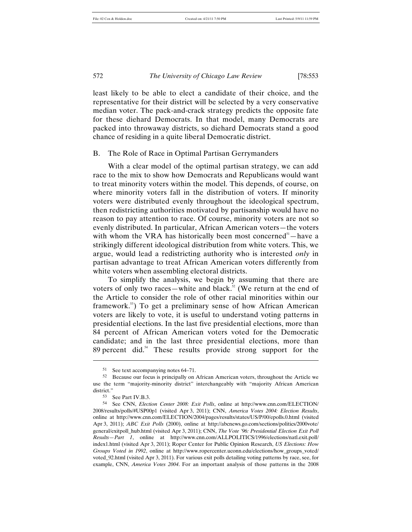least likely to be able to elect a candidate of their choice, and the representative for their district will be selected by a very conservative median voter. The pack-and-crack strategy predicts the opposite fate for these diehard Democrats. In that model, many Democrats are packed into throwaway districts, so diehard Democrats stand a good chance of residing in a quite liberal Democratic district.

#### B. The Role of Race in Optimal Partisan Gerrymanders

With a clear model of the optimal partisan strategy, we can add race to the mix to show how Democrats and Republicans would want to treat minority voters within the model. This depends, of course, on where minority voters fall in the distribution of voters. If minority voters were distributed evenly throughout the ideological spectrum, then redistricting authorities motivated by partisanship would have no reason to pay attention to race. Of course, minority voters are not so evenly distributed. In particular, African American voters—the voters with whom the VRA has historically been most concerned $<sup>51</sup>$ —have a</sup> strikingly different ideological distribution from white voters. This, we argue, would lead a redistricting authority who is interested *only* in partisan advantage to treat African American voters differently from white voters when assembling electoral districts.

To simplify the analysis, we begin by assuming that there are voters of only two races—white and black. $52$  (We return at the end of the Article to consider the role of other racial minorities within our framework.<sup>53</sup>) To get a preliminary sense of how African American voters are likely to vote, it is useful to understand voting patterns in presidential elections. In the last five presidential elections, more than 84 percent of African American voters voted for the Democratic candidate; and in the last three presidential elections, more than 89 percent did.<sup>54</sup> These results provide strong support for the

<sup>51</sup> See text accompanying notes 64–71.

<sup>52</sup> Because our focus is principally on African American voters, throughout the Article we use the term "majority-minority district" interchangeably with "majority African American district."

<sup>53</sup> See Part IV.B.3.

<sup>54</sup> See CNN, *Election Center 2008: Exit Polls*, online at http://www.cnn.com/ELECTION/ 2008/results/polls/#USP00p1 (visited Apr 3, 2011); CNN, *America Votes 2004: Election Results*, online at http://www.cnn.com/ELECTION/2004/pages/results/states/US/P/00/epolls.0.html (visited Apr 3, 2011); *ABC Exit Polls* (2000), online at http://abcnews.go.com/sections/politics/2000vote/ general/exitpoll\_hub.html (visited Apr 3, 2011); CNN, *The Vote '96: Presidential Election Exit Poll Results—Part 1*, online at http://www.cnn.com/ALLPOLITICS/1996/elections/natl.exit.poll/ index1.html (visited Apr 3, 2011); Roper Center for Public Opinion Research, *US Elections: How Groups Voted in 1992*, online at http://www.ropercenter.uconn.edu/elections/how\_groups\_voted/ voted\_92.html (visited Apr 3, 2011). For various exit polls detailing voting patterns by race, see, for example, CNN, *America Votes 2004*. For an important analysis of those patterns in the 2008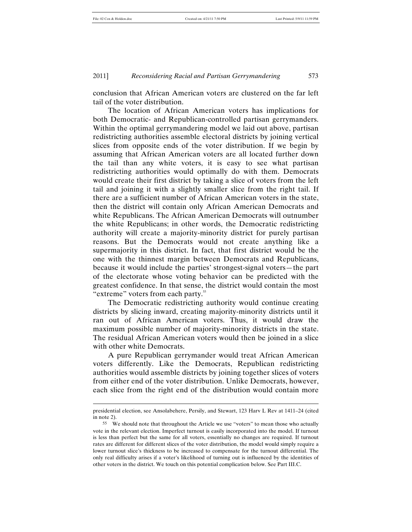conclusion that African American voters are clustered on the far left tail of the voter distribution.

The location of African American voters has implications for both Democratic- and Republican-controlled partisan gerrymanders. Within the optimal gerrymandering model we laid out above, partisan redistricting authorities assemble electoral districts by joining vertical slices from opposite ends of the voter distribution. If we begin by assuming that African American voters are all located further down the tail than any white voters, it is easy to see what partisan redistricting authorities would optimally do with them. Democrats would create their first district by taking a slice of voters from the left tail and joining it with a slightly smaller slice from the right tail. If there are a sufficient number of African American voters in the state, then the district will contain only African American Democrats and white Republicans. The African American Democrats will outnumber the white Republicans; in other words, the Democratic redistricting authority will create a majority-minority district for purely partisan reasons. But the Democrats would not create anything like a supermajority in this district. In fact, that first district would be the one with the thinnest margin between Democrats and Republicans, because it would include the parties' strongest-signal voters—the part of the electorate whose voting behavior can be predicted with the greatest confidence. In that sense, the district would contain the most "extreme" voters from each party.<sup>55</sup>

The Democratic redistricting authority would continue creating districts by slicing inward, creating majority-minority districts until it ran out of African American voters. Thus, it would draw the maximum possible number of majority-minority districts in the state. The residual African American voters would then be joined in a slice with other white Democrats.

A pure Republican gerrymander would treat African American voters differently. Like the Democrats, Republican redistricting authorities would assemble districts by joining together slices of voters from either end of the voter distribution. Unlike Democrats, however, each slice from the right end of the distribution would contain more

presidential election, see Ansolabehere, Persily, and Stewart, 123 Harv L Rev at 1411–24 (cited in note 2).

<sup>55</sup> We should note that throughout the Article we use "voters" to mean those who actually vote in the relevant election. Imperfect turnout is easily incorporated into the model. If turnout is less than perfect but the same for all voters, essentially no changes are required. If turnout rates are different for different slices of the voter distribution, the model would simply require a lower turnout slice's thickness to be increased to compensate for the turnout differential. The only real difficulty arises if a voter's likelihood of turning out is influenced by the identities of other voters in the district. We touch on this potential complication below. See Part III.C.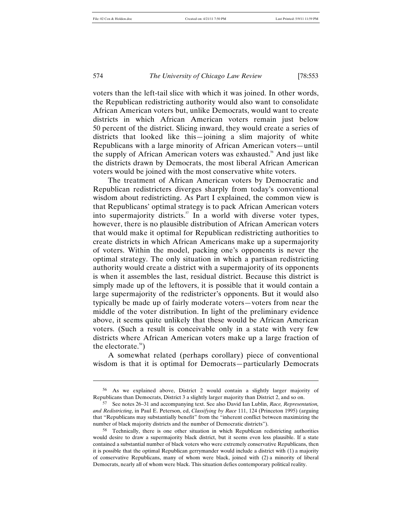l

574 *The University of Chicago Law Review* [78:553

voters than the left-tail slice with which it was joined. In other words, the Republican redistricting authority would also want to consolidate African American voters but, unlike Democrats, would want to create districts in which African American voters remain just below 50 percent of the district. Slicing inward, they would create a series of districts that looked like this—joining a slim majority of white Republicans with a large minority of African American voters—until the supply of African American voters was exhausted.<sup>56</sup> And just like the districts drawn by Democrats, the most liberal African American voters would be joined with the most conservative white voters.

The treatment of African American voters by Democratic and Republican redistricters diverges sharply from today's conventional wisdom about redistricting. As Part I explained, the common view is that Republicans' optimal strategy is to pack African American voters into supermajority districts.<sup>57</sup> In a world with diverse voter types, however, there is no plausible distribution of African American voters that would make it optimal for Republican redistricting authorities to create districts in which African Americans make up a supermajority of voters. Within the model, packing one's opponents is never the optimal strategy. The only situation in which a partisan redistricting authority would create a district with a supermajority of its opponents is when it assembles the last, residual district. Because this district is simply made up of the leftovers, it is possible that it would contain a large supermajority of the redistricter's opponents. But it would also typically be made up of fairly moderate voters—voters from near the middle of the voter distribution. In light of the preliminary evidence above, it seems quite unlikely that these would be African American voters. (Such a result is conceivable only in a state with very few districts where African American voters make up a large fraction of the electorate. ${}^{58}$ )

A somewhat related (perhaps corollary) piece of conventional wisdom is that it is optimal for Democrats—particularly Democrats

<sup>56</sup> As we explained above, District 2 would contain a slightly larger majority of Republicans than Democrats, District 3 a slightly larger majority than District 2, and so on.

<sup>57</sup> See notes 26–31 and accompanying text. See also David Ian Lublin, *Race, Representation, and Redistricting*, in Paul E. Peterson, ed, *Classifying by Race* 111, 124 (Princeton 1995) (arguing that "Republicans may substantially benefit" from the "inherent conflict between maximizing the number of black majority districts and the number of Democratic districts").

<sup>58</sup> Technically, there is one other situation in which Republican redistricting authorities would desire to draw a supermajority black district, but it seems even less plausible. If a state contained a substantial number of black voters who were extremely conservative Republicans, then it is possible that the optimal Republican gerrymander would include a district with (1) a majority of conservative Republicans, many of whom were black, joined with (2) a minority of liberal Democrats, nearly all of whom were black. This situation defies contemporary political reality.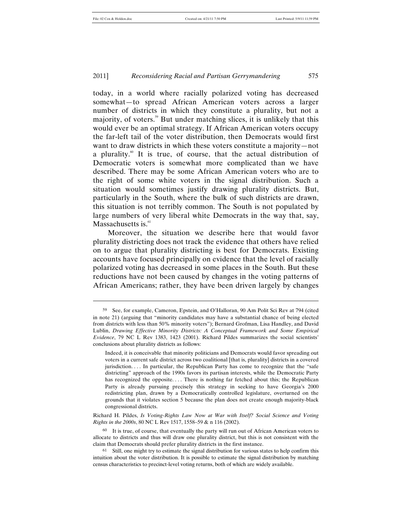$\overline{a}$ 

#### 2011] *Reconsidering Racial and Partisan Gerrymandering* 575

today, in a world where racially polarized voting has decreased somewhat—to spread African American voters across a larger number of districts in which they constitute a plurality, but not a majority, of voters.<sup>59</sup> But under matching slices, it is unlikely that this would ever be an optimal strategy. If African American voters occupy the far-left tail of the voter distribution, then Democrats would first want to draw districts in which these voters constitute a majority—not a plurality.<sup>60</sup> It is true, of course, that the actual distribution of Democratic voters is somewhat more complicated than we have described. There may be some African American voters who are to the right of some white voters in the signal distribution. Such a situation would sometimes justify drawing plurality districts. But, particularly in the South, where the bulk of such districts are drawn, this situation is not terribly common. The South is not populated by large numbers of very liberal white Democrats in the way that, say, Massachusetts is.<sup>61</sup>

Moreover, the situation we describe here that would favor plurality districting does not track the evidence that others have relied on to argue that plurality districting is best for Democrats. Existing accounts have focused principally on evidence that the level of racially polarized voting has decreased in some places in the South. But these reductions have not been caused by changes in the voting patterns of African Americans; rather, they have been driven largely by changes

Richard H. Pildes, *Is Voting-Rights Law Now at War with Itself? Social Science and Voting Rights in the 2000s*, 80 NC L Rev 1517, 1558–59 & n 116 (2002).

60 It is true, of course, that eventually the party will run out of African American voters to allocate to districts and thus will draw one plurality district, but this is not consistent with the claim that Democrats should prefer plurality districts in the first instance.

<sup>59</sup> See, for example, Cameron, Epstein, and O'Halloran, 90 Am Polit Sci Rev at 794 (cited in note 21) (arguing that "minority candidates may have a substantial chance of being elected from districts with less than 50% minority voters"); Bernard Grofman, Lisa Handley, and David Lublin, *Drawing Effective Minority Districts: A Conceptual Framework and Some Empirical Evidence*, 79 NC L Rev 1383, 1423 (2001). Richard Pildes summarizes the social scientists' conclusions about plurality districts as follows:

Indeed, it is conceivable that minority politicians and Democrats would favor spreading out voters in a current safe district across two coalitional [that is, plurality] districts in a covered jurisdiction. . . . In particular, the Republican Party has come to recognize that the "safe districting" approach of the 1990s favors its partisan interests, while the Democratic Party has recognized the opposite.... There is nothing far fetched about this; the Republican Party is already pursuing precisely this strategy in seeking to have Georgia's 2000 redistricting plan, drawn by a Democratically controlled legislature, overturned on the grounds that it violates section 5 because the plan does not create enough majority-black congressional districts.

<sup>&</sup>lt;sup>61</sup> Still, one might try to estimate the signal distribution for various states to help confirm this intuition about the voter distribution. It is possible to estimate the signal distribution by matching census characteristics to precinct-level voting returns, both of which are widely available.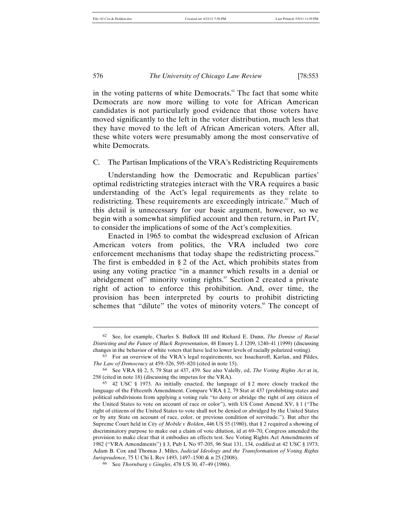l

576 *The University of Chicago Law Review* [78:553

in the voting patterns of white Democrats.<sup> $\alpha$ </sup> The fact that some white Democrats are now more willing to vote for African American candidates is not particularly good evidence that those voters have moved significantly to the left in the voter distribution, much less that they have moved to the left of African American voters. After all, these white voters were presumably among the most conservative of white Democrats.

#### C. The Partisan Implications of the VRA's Redistricting Requirements

Understanding how the Democratic and Republican parties' optimal redistricting strategies interact with the VRA requires a basic understanding of the Act's legal requirements as they relate to redistricting. These requirements are exceedingly intricate.<sup>63</sup> Much of this detail is unnecessary for our basic argument, however, so we begin with a somewhat simplified account and then return, in Part IV, to consider the implications of some of the Act's complexities.

Enacted in 1965 to combat the widespread exclusion of African American voters from politics, the VRA included two core enforcement mechanisms that today shape the redistricting process.<sup>64</sup> The first is embedded in § 2 of the Act, which prohibits states from using any voting practice "in a manner which results in a denial or abridgement of" minority voting rights.<sup>65</sup> Section 2 created a private right of action to enforce this prohibition. And, over time, the provision has been interpreted by courts to prohibit districting schemes that "dilute" the votes of minority voters.<sup>66</sup> The concept of

<sup>62</sup> See, for example, Charles S. Bullock III and Richard E. Dunn, *The Demise of Racial Districting and the Future of Black Representation*, 48 Emory L J 1209, 1240–41 (1999) (discussing changes in the behavior of white voters that have led to lower levels of racially polarized voting).

<sup>63</sup> For an overview of the VRA's legal requirements, see Issacharoff, Karlan, and Pildes, *The Law of Democracy* at 459–526, 595–820 (cited in note 15).

<sup>64</sup> See VRA §§ 2, 5, 79 Stat at 437, 439. See also Valelly, ed, *The Voting Rights Act* at ix, 258 (cited in note 18) (discussing the impetus for the VRA).

<sup>65</sup> 42 USC § 1973. As initially enacted, the language of § 2 more closely tracked the language of the Fifteenth Amendment. Compare VRA § 2, 79 Stat at 437 (prohibiting states and political subdivisions from applying a voting rule "to deny or abridge the right of any citizen of the United States to vote on account of race or color"), with US Const Amend XV, § 1 ("The right of citizens of the United States to vote shall not be denied or abridged by the United States or by any State on account of race, color, or previous condition of servitude."). But after the Supreme Court held in *City of Mobile v Bolden*, 446 US 55 (1980), that § 2 required a showing of discriminatory purpose to make out a claim of vote dilution, id at 69–70, Congress amended the provision to make clear that it embodies an effects test. See Voting Rights Act Amendments of 1982 ("VRA Amendments") § 3, Pub L No 97-205, 96 Stat 131, 134, codified at 42 USC § 1973; Adam B. Cox and Thomas J. Miles, *Judicial Ideology and the Transformation of Voting Rights Jurisprudence*, 75 U Chi L Rev 1493, 1497–1500 & n 25 (2008).

<sup>66</sup> See *Thornburg v Gingles*, 478 US 30, 47–49 (1986).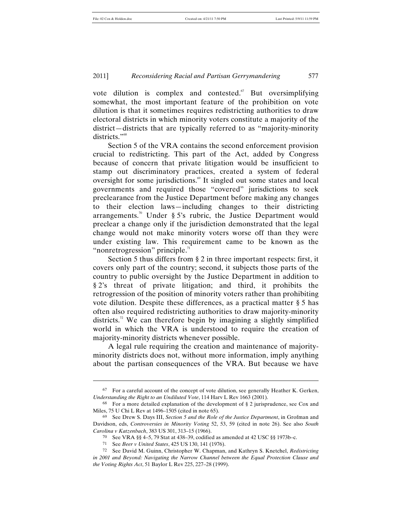vote dilution is complex and contested. $67$  But oversimplifying somewhat, the most important feature of the prohibition on vote dilution is that it sometimes requires redistricting authorities to draw electoral districts in which minority voters constitute a majority of the district—districts that are typically referred to as "majority-minority districts."<sup>68</sup>

Section 5 of the VRA contains the second enforcement provision crucial to redistricting. This part of the Act, added by Congress because of concern that private litigation would be insufficient to stamp out discriminatory practices, created a system of federal oversight for some jurisdictions.<sup>69</sup> It singled out some states and local governments and required those "covered" jurisdictions to seek preclearance from the Justice Department before making any changes to their election laws—including changes to their districting arrangements.<sup>70</sup> Under § 5's rubric, the Justice Department would preclear a change only if the jurisdiction demonstrated that the legal change would not make minority voters worse off than they were under existing law. This requirement came to be known as the "nonretrogression" principle. $\overline{1}$ "

Section 5 thus differs from § 2 in three important respects: first, it covers only part of the country; second, it subjects those parts of the country to public oversight by the Justice Department in addition to § 2's threat of private litigation; and third, it prohibits the retrogression of the position of minority voters rather than prohibiting vote dilution. Despite these differences, as a practical matter § 5 has often also required redistricting authorities to draw majority-minority districts.<sup>72</sup> We can therefore begin by imagining a slightly simplified world in which the VRA is understood to require the creation of majority-minority districts whenever possible.

A legal rule requiring the creation and maintenance of majorityminority districts does not, without more information, imply anything about the partisan consequences of the VRA. But because we have

<sup>67</sup> For a careful account of the concept of vote dilution, see generally Heather K. Gerken, *Understanding the Right to an Undiluted Vote*, 114 Harv L Rev 1663 (2001).

 $68$  For a more detailed explanation of the development of § 2 jurisprudence, see Cox and Miles, 75 U Chi L Rev at 1496–1505 (cited in note 65).

<sup>69</sup> See Drew S. Days III, *Section 5 and the Role of the Justice Department*, in Grofman and Davidson, eds, *Controversies in Minority Voting* 52, 53, 59 (cited in note 26). See also *South Carolina v Katzenbach*, 383 US 301, 313–15 (1966).

<sup>70</sup> See VRA §§ 4–5, 79 Stat at 438–39, codified as amended at 42 USC §§ 1973b–c.

<sup>71</sup> See *Beer v United States*, 425 US 130, 141 (1976).

<sup>72</sup> See David M. Guinn, Christopher W. Chapman, and Kathryn S. Knetchel, *Redistricting in 2001 and Beyond: Navigating the Narrow Channel between the Equal Protection Clause and the Voting Rights Act*, 51 Baylor L Rev 225, 227–28 (1999).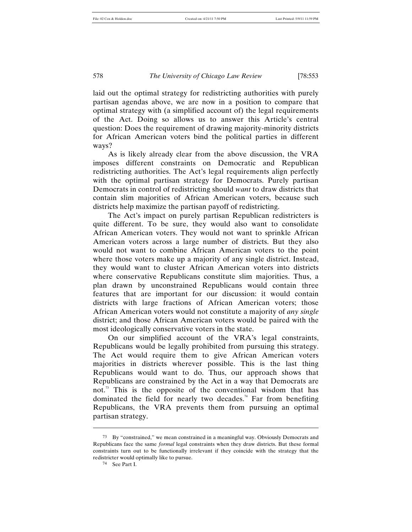laid out the optimal strategy for redistricting authorities with purely partisan agendas above, we are now in a position to compare that optimal strategy with (a simplified account of) the legal requirements of the Act. Doing so allows us to answer this Article's central question: Does the requirement of drawing majority-minority districts for African American voters bind the political parties in different ways?

As is likely already clear from the above discussion, the VRA imposes different constraints on Democratic and Republican redistricting authorities. The Act's legal requirements align perfectly with the optimal partisan strategy for Democrats. Purely partisan Democrats in control of redistricting should *want* to draw districts that contain slim majorities of African American voters, because such districts help maximize the partisan payoff of redistricting.

The Act's impact on purely partisan Republican redistricters is quite different. To be sure, they would also want to consolidate African American voters. They would not want to sprinkle African American voters across a large number of districts. But they also would not want to combine African American voters to the point where those voters make up a majority of any single district. Instead, they would want to cluster African American voters into districts where conservative Republicans constitute slim majorities. Thus, a plan drawn by unconstrained Republicans would contain three features that are important for our discussion: it would contain districts with large fractions of African American voters; those African American voters would not constitute a majority of *any single* district; and those African American voters would be paired with the most ideologically conservative voters in the state.

On our simplified account of the VRA's legal constraints, Republicans would be legally prohibited from pursuing this strategy. The Act would require them to give African American voters majorities in districts wherever possible. This is the last thing Republicans would want to do. Thus, our approach shows that Republicans are constrained by the Act in a way that Democrats are not.<sup>73</sup> This is the opposite of the conventional wisdom that has dominated the field for nearly two decades.<sup>74</sup> Far from benefiting Republicans, the VRA prevents them from pursuing an optimal partisan strategy.

<sup>73</sup> By "constrained," we mean constrained in a meaningful way. Obviously Democrats and Republicans face the same *formal* legal constraints when they draw districts. But these formal constraints turn out to be functionally irrelevant if they coincide with the strategy that the redistricter would optimally like to pursue.

<sup>74</sup> See Part I.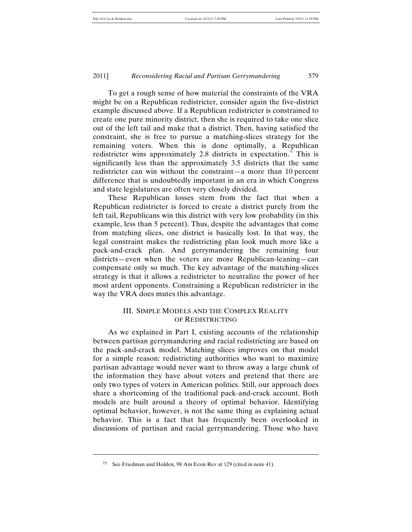To get a rough sense of how material the constraints of the VRA might be on a Republican redistricter, consider again the five-district example discussed above. If a Republican redistricter is constrained to create one pure minority district, then she is required to take one slice out of the left tail and make that a district. Then, having satisfied the constraint, she is free to pursue a matching-slices strategy for the remaining voters. When this is done optimally, a Republican redistricter wins approximately 2.8 districts in expectation.<sup>75</sup> This is significantly less than the approximately 3.5 districts that the same redistricter can win without the constraint—a more than 10 percent difference that is undoubtedly important in an era in which Congress and state legislatures are often very closely divided.

These Republican losses stem from the fact that when a Republican redistricter is forced to create a district purely from the left tail, Republicans win this district with very low probability (in this example, less than 5 percent). Thus, despite the advantages that come from matching slices, one district is basically lost. In that way, the legal constraint makes the redistricting plan look much more like a pack-and-crack plan. And gerrymandering the remaining four districts—even when the voters are more Republican-leaning—can compensate only so much. The key advantage of the matching-slices strategy is that it allows a redistricter to neutralize the power of her most ardent opponents. Constraining a Republican redistricter in the way the VRA does mutes this advantage.

## III. SIMPLE MODELS AND THE COMPLEX REALITY OF REDISTRICTING

As we explained in Part I, existing accounts of the relationship between partisan gerrymandering and racial redistricting are based on the pack-and-crack model. Matching slices improves on that model for a simple reason: redistricting authorities who want to maximize partisan advantage would never want to throw away a large chunk of the information they have about voters and pretend that there are only two types of voters in American politics. Still, our approach does share a shortcoming of the traditional pack-and-crack account. Both models are built around a theory of optimal behavior. Identifying optimal behavior, however, is not the same thing as explaining actual behavior. This is a fact that has frequently been overlooked in discussions of partisan and racial gerrymandering. Those who have

<sup>75</sup> See Friedman and Holden, 98 Am Econ Rev at 129 (cited in note 41).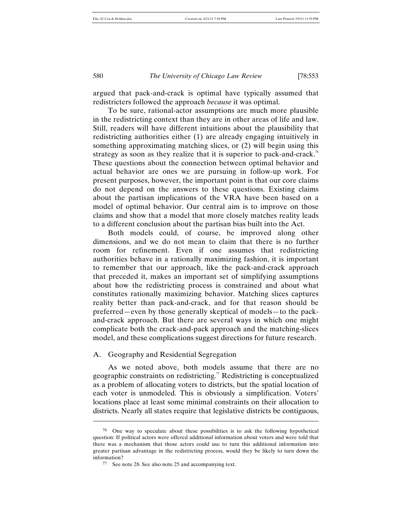argued that pack-and-crack is optimal have typically assumed that redistricters followed the approach *because* it was optimal.

To be sure, rational-actor assumptions are much more plausible in the redistricting context than they are in other areas of life and law. Still, readers will have different intuitions about the plausibility that redistricting authorities either (1) are already engaging intuitively in something approximating matching slices, or (2) will begin using this strategy as soon as they realize that it is superior to pack-and-crack.<sup>76</sup> These questions about the connection between optimal behavior and actual behavior are ones we are pursuing in follow-up work. For present purposes, however, the important point is that our core claims do not depend on the answers to these questions. Existing claims about the partisan implications of the VRA have been based on a model of optimal behavior. Our central aim is to improve on those claims and show that a model that more closely matches reality leads to a different conclusion about the partisan bias built into the Act.

Both models could, of course, be improved along other dimensions, and we do not mean to claim that there is no further room for refinement. Even if one assumes that redistricting authorities behave in a rationally maximizing fashion, it is important to remember that our approach, like the pack-and-crack approach that preceded it, makes an important set of simplifying assumptions about how the redistricting process is constrained and about what constitutes rationally maximizing behavior. Matching slices captures reality better than pack-and-crack, and for that reason should be preferred—even by those generally skeptical of models—to the packand-crack approach. But there are several ways in which one might complicate both the crack-and-pack approach and the matching-slices model, and these complications suggest directions for future research.

#### A. Geography and Residential Segregation

As we noted above, both models assume that there are no geographic constraints on redistricting.<sup>77</sup> Redistricting is conceptualized as a problem of allocating voters to districts, but the spatial location of each voter is unmodeled. This is obviously a simplification. Voters' locations place at least some minimal constraints on their allocation to districts. Nearly all states require that legislative districts be contiguous,

<sup>76</sup> One way to speculate about these possibilities is to ask the following hypothetical question: If political actors were offered additional information about voters and were told that there was a mechanism that those actors could use to turn this additional information into greater partisan advantage in the redistricting process, would they be likely to turn down the information?

<sup>77</sup> See note 28. See also note 25 and accompanying text.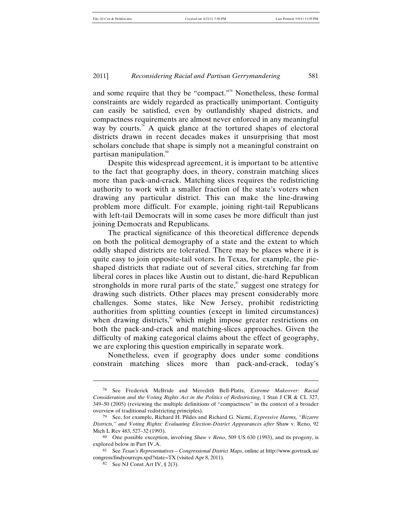and some require that they be "compact."<sup>8</sup> Nonetheless, these formal constraints are widely regarded as practically unimportant. Contiguity can easily be satisfied, even by outlandishly shaped districts, and compactness requirements are almost never enforced in any meaningful way by courts.<sup>79</sup> A quick glance at the tortured shapes of electoral districts drawn in recent decades makes it unsurprising that most scholars conclude that shape is simply not a meaningful constraint on partisan manipulation.<sup>80</sup>

Despite this widespread agreement, it is important to be attentive to the fact that geography does, in theory, constrain matching slices more than pack-and-crack. Matching slices requires the redistricting authority to work with a smaller fraction of the state's voters when drawing any particular district. This can make the line-drawing problem more difficult. For example, joining right-tail Republicans with left-tail Democrats will in some cases be more difficult than just joining Democrats and Republicans.

The practical significance of this theoretical difference depends on both the political demography of a state and the extent to which oddly shaped districts are tolerated. There may be places where it is quite easy to join opposite-tail voters. In Texas, for example, the pieshaped districts that radiate out of several cities, stretching far from liberal cores in places like Austin out to distant, die-hard Republican strongholds in more rural parts of the state, $s<sup>s<sub>i</sub></sup>$  suggest one strategy for drawing such districts. Other places may present considerably more challenges. Some states, like New Jersey, prohibit redistricting authorities from splitting counties (except in limited circumstances) when drawing districts, $\frac{8}{3}$  which might impose greater restrictions on both the pack-and-crack and matching-slices approaches. Given the difficulty of making categorical claims about the effect of geography, we are exploring this question empirically in separate work.

Nonetheless, even if geography does under some conditions constrain matching slices more than pack-and-crack, today's

<sup>78</sup> See Frederick McBride and Meredith Bell-Platts, *Extreme Makeover: Racial Consideration and the Voting Rights Act in the Politics of Redistricting*, 1 Stan J CR & CL 327, 349–50 (2005) (reviewing the multiple definitions of "compactness" in the context of a broader overview of traditional redistricting principles).

<sup>79</sup> See, for example, Richard H. Pildes and Richard G. Niemi, *Expressive Harms, "Bizarre Districts," and Voting Rights: Evaluating Election-District Appearances after* Shaw v. Reno, 92 Mich L Rev 483, 527–32 (1993).

<sup>80</sup> One possible exception, involving *Shaw v Reno*, 509 US 630 (1993), and its progeny, is explored below in Part IV.A.

<sup>81</sup> See *Texas's Representatives—Congressional District Maps*, online at http://www.govtrack.us/ congress/findyourreps.xpd?state=TX (visited Apr 8, 2011).

<sup>82</sup> See NJ Const Art IV, § 2(3).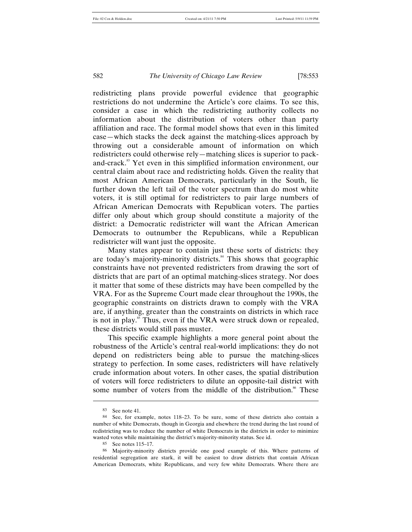redistricting plans provide powerful evidence that geographic restrictions do not undermine the Article's core claims. To see this, consider a case in which the redistricting authority collects no information about the distribution of voters other than party affiliation and race. The formal model shows that even in this limited case—which stacks the deck against the matching-slices approach by throwing out a considerable amount of information on which redistricters could otherwise rely—matching slices is superior to packand-crack.<sup>83</sup> Yet even in this simplified information environment, our central claim about race and redistricting holds. Given the reality that most African American Democrats, particularly in the South, lie further down the left tail of the voter spectrum than do most white voters, it is still optimal for redistricters to pair large numbers of African American Democrats with Republican voters. The parties differ only about which group should constitute a majority of the district: a Democratic redistricter will want the African American Democrats to outnumber the Republicans, while a Republican redistricter will want just the opposite.

Many states appear to contain just these sorts of districts: they are today's majority-minority districts.<sup>84</sup> This shows that geographic constraints have not prevented redistricters from drawing the sort of districts that are part of an optimal matching-slices strategy. Nor does it matter that some of these districts may have been compelled by the VRA. For as the Supreme Court made clear throughout the 1990s, the geographic constraints on districts drawn to comply with the VRA are, if anything, greater than the constraints on districts in which race is not in play.<sup>85</sup> Thus, even if the VRA were struck down or repealed, these districts would still pass muster.

This specific example highlights a more general point about the robustness of the Article's central real-world implications: they do not depend on redistricters being able to pursue the matching-slices strategy to perfection. In some cases, redistricters will have relatively crude information about voters. In other cases, the spatial distribution of voters will force redistricters to dilute an opposite-tail district with some number of voters from the middle of the distribution.<sup>86</sup> These

<sup>83</sup> See note 41.

<sup>84</sup> See, for example, notes 118–23. To be sure, some of these districts also contain a number of white Democrats, though in Georgia and elsewhere the trend during the last round of redistricting was to reduce the number of white Democrats in the districts in order to minimize wasted votes while maintaining the district's majority-minority status. See id.

<sup>85</sup> See notes 115–17.

<sup>86</sup> Majority-minority districts provide one good example of this. Where patterns of residential segregation are stark, it will be easiest to draw districts that contain African American Democrats, white Republicans, and very few white Democrats. Where there are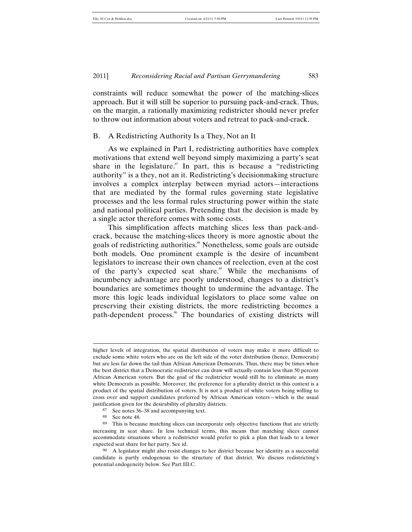constraints will reduce somewhat the power of the matching-slices approach. But it will still be superior to pursuing pack-and-crack. Thus, on the margin, a rationally maximizing redistricter should never prefer to throw out information about voters and retreat to pack-and-crack.

#### B. A Redistricting Authority Is a They, Not an It

As we explained in Part I, redistricting authorities have complex motivations that extend well beyond simply maximizing a party's seat share in the legislature.<sup>87</sup> In part, this is because a "redistricting" authority" is a they, not an it. Redistricting's decisionmaking structure involves a complex interplay between myriad actors—interactions that are mediated by the formal rules governing state legislative processes and the less formal rules structuring power within the state and national political parties. Pretending that the decision is made by a single actor therefore comes with some costs.

This simplification affects matching slices less than pack-andcrack, because the matching-slices theory is more agnostic about the goals of redistricting authorities.<sup>88</sup> Nonetheless, some goals are outside both models. One prominent example is the desire of incumbent legislators to increase their own chances of reelection, even at the cost of the party's expected seat share. <sup>89</sup> While the mechanisms of incumbency advantage are poorly understood, changes to a district's boundaries are sometimes thought to undermine the advantage. The more this logic leads individual legislators to place some value on preserving their existing districts, the more redistricting becomes a path-dependent process.<sup>90</sup> The boundaries of existing districts will

higher levels of integration, the spatial distribution of voters may make it more difficult to exclude some white voters who are on the left side of the voter distribution (hence, Democrats) but are less far down the tail than African American Democrats. Thus, there may be times when the best district that a Democratic redistricter can draw will actually contain less than 50 percent African American voters. But the goal of the redistricter would still be to eliminate as many white Democrats as possible. Moreover, the preference for a plurality district in this context is a product of the spatial distribution of voters. It is not a product of white voters being willing to cross over and support candidates preferred by African American voters—which is the usual justification given for the desirability of plurality districts.

<sup>87</sup> See notes 36–38 and accompanying text.

<sup>88</sup> See note 48.

<sup>89</sup> This is because matching slices can incorporate only objective functions that are strictly increasing in seat share. In less technical terms, this means that matching slices cannot accommodate situations where a redistricter would prefer to pick a plan that leads to a lower expected seat share for her party. See id.

<sup>&</sup>lt;sup>90</sup> A legislator might also resist changes to her district because her identity as a successful candidate is partly endogenous to the structure of that district. We discuss redistricting's potential endogeneity below. See Part III.C.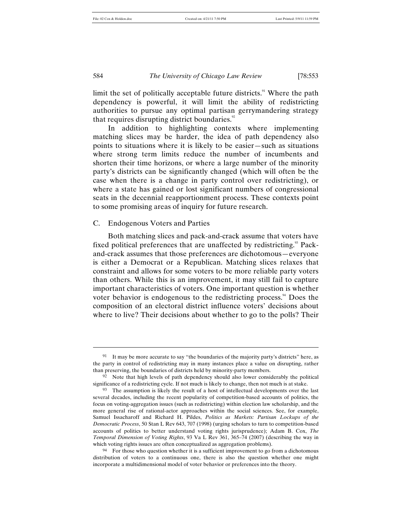limit the set of politically acceptable future districts.<sup>91</sup> Where the path dependency is powerful, it will limit the ability of redistricting authorities to pursue any optimal partisan gerrymandering strategy that requires disrupting district boundaries. $\degree$ 

In addition to highlighting contexts where implementing matching slices may be harder, the idea of path dependency also points to situations where it is likely to be easier—such as situations where strong term limits reduce the number of incumbents and shorten their time horizons, or where a large number of the minority party's districts can be significantly changed (which will often be the case when there is a change in party control over redistricting), or where a state has gained or lost significant numbers of congressional seats in the decennial reapportionment process. These contexts point to some promising areas of inquiry for future research.

#### C. Endogenous Voters and Parties

Both matching slices and pack-and-crack assume that voters have fixed political preferences that are unaffected by redistricting.<sup>93</sup> Packand-crack assumes that those preferences are dichotomous—everyone is either a Democrat or a Republican. Matching slices relaxes that constraint and allows for some voters to be more reliable party voters than others. While this is an improvement, it may still fail to capture important characteristics of voters. One important question is whether voter behavior is endogenous to the redistricting process.<sup>94</sup> Does the composition of an electoral district influence voters' decisions about where to live? Their decisions about whether to go to the polls? Their

<sup>&</sup>lt;sup>91</sup> It may be more accurate to say "the boundaries of the majority party's districts" here, as the party in control of redistricting may in many instances place a value on disrupting, rather than preserving, the boundaries of districts held by minority-party members.

 $92$  Note that high levels of path dependency should also lower considerably the political significance of a redistricting cycle. If not much is likely to change, then not much is at stake.

<sup>93</sup> The assumption is likely the result of a host of intellectual developments over the last several decades, including the recent popularity of competition-based accounts of politics, the focus on voting-aggregation issues (such as redistricting) within election law scholarship, and the more general rise of rational-actor approaches within the social sciences. See, for example, Samuel Issacharoff and Richard H. Pildes, *Politics as Markets: Partisan Lockups of the Democratic Process*, 50 Stan L Rev 643, 707 (1998) (urging scholars to turn to competition-based accounts of politics to better understand voting rights jurisprudence); Adam B. Cox, *The Temporal Dimension of Voting Rights*, 93 Va L Rev 361, 365–74 (2007) (describing the way in which voting rights issues are often conceptualized as aggregation problems).

<sup>&</sup>lt;sup>94</sup> For those who question whether it is a sufficient improvement to go from a dichotomous distribution of voters to a continuous one, there is also the question whether one might incorporate a multidimensional model of voter behavior or preferences into the theory.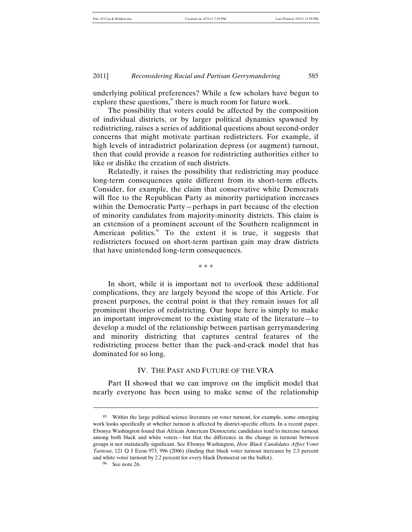underlying political preferences? While a few scholars have begun to explore these questions, $\frac{95}{3}$  there is much room for future work.

The possibility that voters could be affected by the composition of individual districts, or by larger political dynamics spawned by redistricting, raises a series of additional questions about second-order concerns that might motivate partisan redistricters. For example, if high levels of intradistrict polarization depress (or augment) turnout, then that could provide a reason for redistricting authorities either to like or dislike the creation of such districts.

Relatedly, it raises the possibility that redistricting may produce long-term consequences quite different from its short-term effects. Consider, for example, the claim that conservative white Democrats will flee to the Republican Party as minority participation increases within the Democratic Party—perhaps in part because of the election of minority candidates from majority-minority districts. This claim is an extension of a prominent account of the Southern realignment in American politics. $\frac{8}{10}$  To the extent it is true, it suggests that redistricters focused on short-term partisan gain may draw districts that have unintended long-term consequences.

\* \* \*

In short, while it is important not to overlook these additional complications, they are largely beyond the scope of this Article. For present purposes, the central point is that they remain issues for all prominent theories of redistricting. Our hope here is simply to make an important improvement to the existing state of the literature—to develop a model of the relationship between partisan gerrymandering and minority districting that captures central features of the redistricting process better than the pack-and-crack model that has dominated for so long.

#### IV. THE PAST AND FUTURE OF THE VRA

Part II showed that we can improve on the implicit model that nearly everyone has been using to make sense of the relationship

96 See note 26.

<sup>95</sup> Within the large political science literature on voter turnout, for example, some emerging work looks specifically at whether turnout is affected by district-specific effects. In a recent paper, Ebonya Washington found that African American Democratic candidates tend to increase turnout among both black and white voters—but that the difference in the change in turnout between groups is not statistically significant. See Ebonya Washington, *How Black Candidates Affect Voter Turnout*, 121 Q J Econ 973, 996 (2006) (finding that black voter turnout increases by 2.3 percent and white voter turnout by 2.2 percent for every black Democrat on the ballot).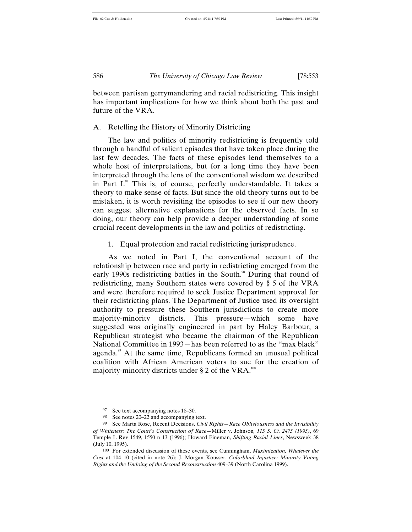between partisan gerrymandering and racial redistricting. This insight has important implications for how we think about both the past and future of the VRA.

## A. Retelling the History of Minority Districting

The law and politics of minority redistricting is frequently told through a handful of salient episodes that have taken place during the last few decades. The facts of these episodes lend themselves to a whole host of interpretations, but for a long time they have been interpreted through the lens of the conventional wisdom we described in Part I. $\degree$  This is, of course, perfectly understandable. It takes a theory to make sense of facts. But since the old theory turns out to be mistaken, it is worth revisiting the episodes to see if our new theory can suggest alternative explanations for the observed facts. In so doing, our theory can help provide a deeper understanding of some crucial recent developments in the law and politics of redistricting.

#### 1. Equal protection and racial redistricting jurisprudence.

As we noted in Part I, the conventional account of the relationship between race and party in redistricting emerged from the early 1990s redistricting battles in the South.<sup>88</sup> During that round of redistricting, many Southern states were covered by § 5 of the VRA and were therefore required to seek Justice Department approval for their redistricting plans. The Department of Justice used its oversight authority to pressure these Southern jurisdictions to create more majority-minority districts. This pressure—which some have suggested was originally engineered in part by Haley Barbour, a Republican strategist who became the chairman of the Republican National Committee in 1993—has been referred to as the "max black" agenda.<sup>99</sup> At the same time, Republicans formed an unusual political coalition with African American voters to sue for the creation of majority-minority districts under  $\S 2$  of the VRA.<sup>100</sup>

<sup>97</sup> See text accompanying notes 18–30.

<sup>98</sup> See notes 20–22 and accompanying text.

<sup>99</sup> See Marta Rose, Recent Decisions, *Civil Rights—Race Obliviousness and the Invisibility of Whiteness: The Court's Construction of Race—*Miller v. Johnson*, 115 S. Ct. 2475 (1995)*, 69 Temple L Rev 1549, 1550 n 13 (1996); Howard Fineman, *Shifting Racial Lines*, Newsweek 38 (July 10, 1995).

<sup>100</sup> For extended discussion of these events, see Cunningham, *Maximization, Whatever the Cost* at 104–10 (cited in note 26); J. Morgan Kousser, *Colorblind Injustice: Minority Voting Rights and the Undoing of the Second Reconstruction* 409–39 (North Carolina 1999).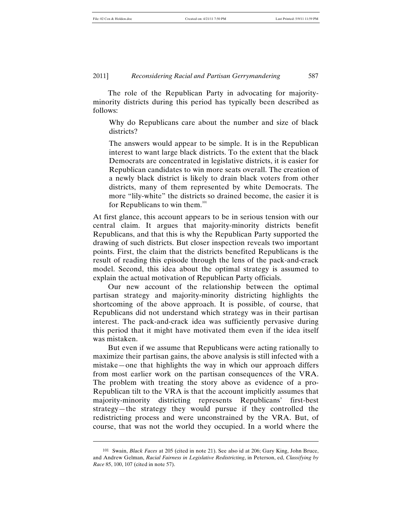l

#### 2011] *Reconsidering Racial and Partisan Gerrymandering* 587

The role of the Republican Party in advocating for majorityminority districts during this period has typically been described as follows:

Why do Republicans care about the number and size of black districts?

The answers would appear to be simple. It is in the Republican interest to want large black districts. To the extent that the black Democrats are concentrated in legislative districts, it is easier for Republican candidates to win more seats overall. The creation of a newly black district is likely to drain black voters from other districts, many of them represented by white Democrats. The more "lily-white" the districts so drained become, the easier it is for Republicans to win them.<sup>101</sup>

At first glance, this account appears to be in serious tension with our central claim. It argues that majority-minority districts benefit Republicans, and that this is why the Republican Party supported the drawing of such districts. But closer inspection reveals two important points. First, the claim that the districts benefited Republicans is the result of reading this episode through the lens of the pack-and-crack model. Second, this idea about the optimal strategy is assumed to explain the actual motivation of Republican Party officials.

Our new account of the relationship between the optimal partisan strategy and majority-minority districting highlights the shortcoming of the above approach. It is possible, of course, that Republicans did not understand which strategy was in their partisan interest. The pack-and-crack idea was sufficiently pervasive during this period that it might have motivated them even if the idea itself was mistaken.

But even if we assume that Republicans were acting rationally to maximize their partisan gains, the above analysis is still infected with a mistake—one that highlights the way in which our approach differs from most earlier work on the partisan consequences of the VRA. The problem with treating the story above as evidence of a pro-Republican tilt to the VRA is that the account implicitly assumes that majority-minority districting represents Republicans' first-best strategy—the strategy they would pursue if they controlled the redistricting process and were unconstrained by the VRA. But, of course, that was not the world they occupied. In a world where the

<sup>101</sup> Swain, *Black Faces* at 205 (cited in note 21). See also id at 206; Gary King, John Bruce, and Andrew Gelman, *Racial Fairness in Legislative Redistricting*, in Peterson, ed, *Classifying by Race* 85, 100, 107 (cited in note 57).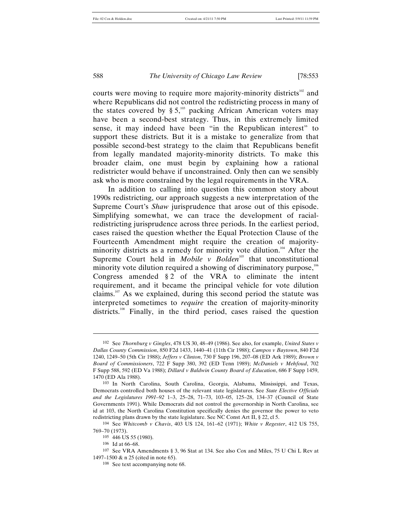courts were moving to require more majority-minority districts<sup>102</sup> and where Republicans did not control the redistricting process in many of the states covered by  $\S 5$ ,<sup>103</sup> packing African American voters may have been a second-best strategy. Thus, in this extremely limited sense, it may indeed have been "in the Republican interest" to support these districts. But it is a mistake to generalize from that possible second-best strategy to the claim that Republicans benefit from legally mandated majority-minority districts. To make this broader claim, one must begin by explaining how a rational redistricter would behave if unconstrained. Only then can we sensibly ask who is more constrained by the legal requirements in the VRA.

In addition to calling into question this common story about 1990s redistricting, our approach suggests a new interpretation of the Supreme Court's *Shaw* jurisprudence that arose out of this episode. Simplifying somewhat, we can trace the development of racialredistricting jurisprudence across three periods. In the earliest period, cases raised the question whether the Equal Protection Clause of the Fourteenth Amendment might require the creation of majorityminority districts as a remedy for minority vote dilution.<sup>104</sup> After the Supreme Court held in *Mobile v Bolden*<sup>105</sup> that unconstitutional minority vote dilution required a showing of discriminatory purpose,<sup>106</sup> Congress amended § 2 of the VRA to eliminate the intent requirement, and it became the principal vehicle for vote dilution claims.<sup>107</sup> As we explained, during this second period the statute was interpreted sometimes to *require* the creation of majority-minority districts.<sup>108</sup> Finally, in the third period, cases raised the question

<sup>102</sup> See *Thornburg v Gingles*, 478 US 30, 48–49 (1986). See also, for example, *United States v Dallas County Commission*, 850 F2d 1433, 1440–41 (11th Cir 1988); *Campos v Baytown*, 840 F2d 1240, 1249–50 (5th Cir 1988); *Jeffers v Clinton*, 730 F Supp 196, 207–08 (ED Ark 1989); *Brown v Board of Commissioners*, 722 F Supp 380, 392 (ED Tenn 1989); *McDaniels v Mehfoud*, 702 F Supp 588, 592 (ED Va 1988); *Dillard v Baldwin County Board of Education*, 686 F Supp 1459, 1470 (ED Ala 1988).

<sup>103</sup> In North Carolina, South Carolina, Georgia, Alabama, Mississippi, and Texas, Democrats controlled both houses of the relevant state legislatures. See *State Elective Officials and the Legislatures 1991–92* 1–3, 25–28, 71–73, 103–05, 125–28, 134–37 (Council of State Governments 1991). While Democrats did not control the governorship in North Carolina, see id at 103, the North Carolina Constitution specifically denies the governor the power to veto redistricting plans drawn by the state legislature. See NC Const Art II, § 22, cl 5.

<sup>104</sup> See *Whitcomb v Chavis*, 403 US 124, 161–62 (1971); *White v Regester*, 412 US 755, 769–70 (1973).

<sup>105</sup> 446 US 55 (1980).

<sup>106</sup> Id at 66–68.

<sup>107</sup> See VRA Amendments § 3, 96 Stat at 134. See also Cox and Miles, 75 U Chi L Rev at 1497–1500 & n 25 (cited in note 65).

<sup>108</sup> See text accompanying note 68.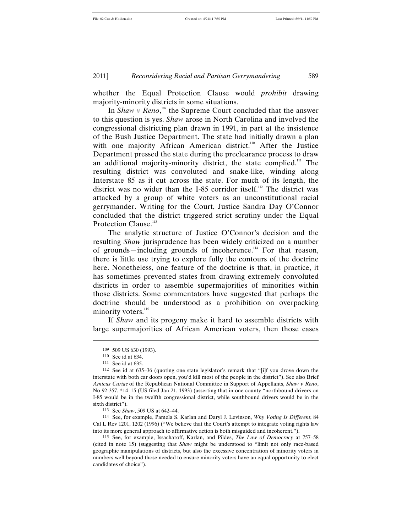whether the Equal Protection Clause would *prohibit* drawing majority-minority districts in some situations.

In *Shaw v Reno*,<sup>109</sup> the Supreme Court concluded that the answer to this question is yes. *Shaw* arose in North Carolina and involved the congressional districting plan drawn in 1991, in part at the insistence of the Bush Justice Department. The state had initially drawn a plan with one majority African American district.<sup>110</sup> After the Justice Department pressed the state during the preclearance process to draw an additional majority-minority district, the state complied.<sup>111</sup> The resulting district was convoluted and snake-like, winding along Interstate 85 as it cut across the state. For much of its length, the district was no wider than the I-85 corridor itself.<sup>112</sup> The district was attacked by a group of white voters as an unconstitutional racial gerrymander. Writing for the Court, Justice Sandra Day O'Connor concluded that the district triggered strict scrutiny under the Equal Protection Clause.<sup>113</sup>

The analytic structure of Justice O'Connor's decision and the resulting *Shaw* jurisprudence has been widely criticized on a number of grounds—including grounds of incoherence.<sup>114</sup> For that reason, there is little use trying to explore fully the contours of the doctrine here. Nonetheless, one feature of the doctrine is that, in practice, it has sometimes prevented states from drawing extremely convoluted districts in order to assemble supermajorities of minorities within those districts. Some commentators have suggested that perhaps the doctrine should be understood as a prohibition on overpacking minority voters.<sup>115</sup>

If *Shaw* and its progeny make it hard to assemble districts with large supermajorities of African American voters, then those cases

l

113 See *Shaw*, 509 US at 642–44.

114 See, for example, Pamela S. Karlan and Daryl J. Levinson, *Why Voting Is Different*, 84 Cal L Rev 1201, 1202 (1996) ("We believe that the Court's attempt to integrate voting rights law into its more general approach to affirmative action is both misguided and incoherent.").

<sup>109</sup> 509 US 630 (1993).

<sup>110</sup> See id at 634.

<sup>111</sup> See id at 635.

<sup>112</sup> See id at 635–36 (quoting one state legislator's remark that "[i]f you drove down the interstate with both car doors open, you'd kill most of the people in the district"). See also Brief *Amicus Curiae* of the Republican National Committee in Support of Appellants, *Shaw v Reno*, No 92-357, \*14–15 (US filed Jan 21, 1993) (asserting that in one county "northbound drivers on I-85 would be in the twelfth congressional district, while southbound drivers would be in the sixth district").

<sup>115</sup> See, for example, Issacharoff, Karlan, and Pildes, *The Law of Democracy* at 757–58 (cited in note 15) (suggesting that *Shaw* might be understood to "limit not only race-based geographic manipulations of districts, but also the excessive concentration of minority voters in numbers well beyond those needed to ensure minority voters have an equal opportunity to elect candidates of choice").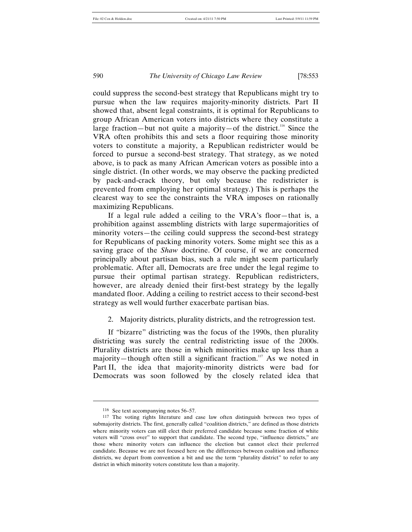could suppress the second-best strategy that Republicans might try to pursue when the law requires majority-minority districts. Part II showed that, absent legal constraints, it is optimal for Republicans to group African American voters into districts where they constitute a large fraction—but not quite a majority—of the district.<sup>116</sup> Since the VRA often prohibits this and sets a floor requiring those minority voters to constitute a majority, a Republican redistricter would be forced to pursue a second-best strategy. That strategy, as we noted above, is to pack as many African American voters as possible into a single district. (In other words, we may observe the packing predicted by pack-and-crack theory, but only because the redistricter is prevented from employing her optimal strategy.) This is perhaps the clearest way to see the constraints the VRA imposes on rationally maximizing Republicans.

If a legal rule added a ceiling to the VRA's floor—that is, a prohibition against assembling districts with large supermajorities of minority voters—the ceiling could suppress the second-best strategy for Republicans of packing minority voters. Some might see this as a saving grace of the *Shaw* doctrine. Of course, if we are concerned principally about partisan bias, such a rule might seem particularly problematic. After all, Democrats are free under the legal regime to pursue their optimal partisan strategy. Republican redistricters, however, are already denied their first-best strategy by the legally mandated floor. Adding a ceiling to restrict access to their second-best strategy as well would further exacerbate partisan bias.

2. Majority districts, plurality districts, and the retrogression test.

If *"*bizarre" districting was the focus of the 1990s, then plurality districting was surely the central redistricting issue of the 2000s. Plurality districts are those in which minorities make up less than a majority—though often still a significant fraction.<sup>117</sup> As we noted in Part II, the idea that majority-minority districts were bad for Democrats was soon followed by the closely related idea that

<sup>116</sup> See text accompanying notes 56–57.

<sup>117</sup> The voting rights literature and case law often distinguish between two types of submajority districts. The first, generally called "coalition districts," are defined as those districts where minority voters can still elect their preferred candidate because some fraction of white voters will "cross over" to support that candidate. The second type, "influence districts," are those where minority voters can influence the election but cannot elect their preferred candidate. Because we are not focused here on the differences between coalition and influence districts, we depart from convention a bit and use the term "plurality district" to refer to any district in which minority voters constitute less than a majority.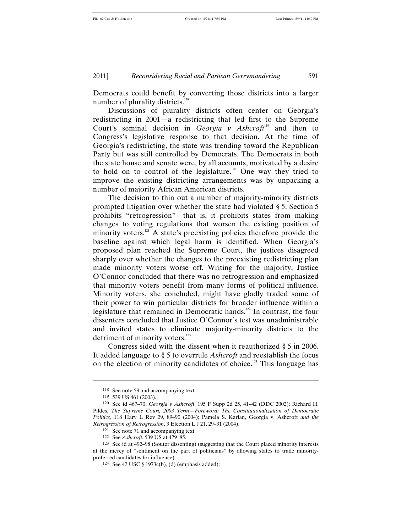Democrats could benefit by converting those districts into a larger number of plurality districts.<sup>118</sup>

Discussions of plurality districts often center on Georgia's redistricting in 2001—a redistricting that led first to the Supreme Court's seminal decision in *Georgia v Ashcroft*<sup>119</sup> and then to Congress's legislative response to that decision. At the time of Georgia's redistricting, the state was trending toward the Republican Party but was still controlled by Democrats. The Democrats in both the state house and senate were, by all accounts, motivated by a desire to hold on to control of the legislature.<sup>120</sup> One way they tried to improve the existing districting arrangements was by unpacking a number of majority African American districts.

The decision to thin out a number of majority-minority districts prompted litigation over whether the state had violated § 5. Section 5 prohibits "retrogression"—that is, it prohibits states from making changes to voting regulations that worsen the existing position of minority voters.<sup>121</sup> A state's preexisting policies therefore provide the baseline against which legal harm is identified. When Georgia's proposed plan reached the Supreme Court, the justices disagreed sharply over whether the changes to the preexisting redistricting plan made minority voters worse off. Writing for the majority, Justice O'Connor concluded that there was no retrogression and emphasized that minority voters benefit from many forms of political influence. Minority voters, she concluded, might have gladly traded some of their power to win particular districts for broader influence within a legislature that remained in Democratic hands.<sup>122</sup> In contrast, the four dissenters concluded that Justice O'Connor's test was unadministrable and invited states to eliminate majority-minority districts to the detriment of minority voters.<sup>123</sup>

Congress sided with the dissent when it reauthorized § 5 in 2006. It added language to § 5 to overrule *Ashcroft* and reestablish the focus on the election of minority candidates of choice.124 This language has

<sup>118</sup> See note 59 and accompanying text.

<sup>119</sup> 539 US 461 (2003).

<sup>120</sup> See id 467–70; *Georgia v Ashcroft*, 195 F Supp 2d 25, 41–42 (DDC 2002); Richard H. Pildes, *The Supreme Court, 2003 Term—Foreword: The Constitutionalization of Democratic Politics*, 118 Harv L Rev 29, 89–90 (2004); Pamela S. Karlan, Georgia v. Ashcroft *and the Retrogression of Retrogression*, 3 Election L J 21, 29–31 (2004).

<sup>121</sup> See note 71 and accompanying text.

<sup>122</sup> See *Ashcroft*, 539 US at 479–85.

<sup>123</sup> See id at 492–98 (Souter dissenting) (suggesting that the Court placed minority interests at the mercy of "sentiment on the part of politicians" by allowing states to trade minoritypreferred candidates for influence).

<sup>124</sup> See 42 USC § 1973c(b), (d) (emphasis added):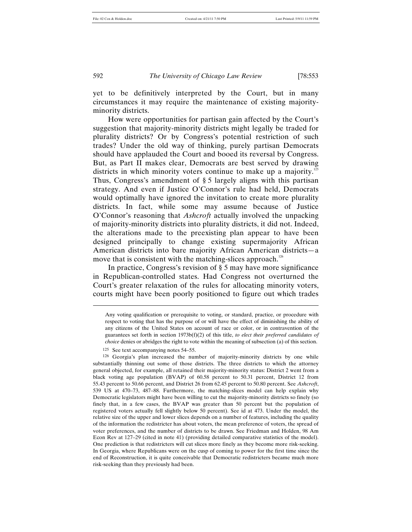yet to be definitively interpreted by the Court, but in many circumstances it may require the maintenance of existing majorityminority districts.

How were opportunities for partisan gain affected by the Court's suggestion that majority-minority districts might legally be traded for plurality districts? Or by Congress's potential restriction of such trades? Under the old way of thinking, purely partisan Democrats should have applauded the Court and booed its reversal by Congress. But, as Part II makes clear, Democrats are best served by drawing districts in which minority voters continue to make up a majority.<sup>12</sup> Thus, Congress's amendment of § 5 largely aligns with this partisan strategy. And even if Justice O'Connor's rule had held, Democrats would optimally have ignored the invitation to create more plurality districts. In fact, while some may assume because of Justice O'Connor's reasoning that *Ashcroft* actually involved the unpacking of majority-minority districts into plurality districts, it did not. Indeed, the alterations made to the preexisting plan appear to have been designed principally to change existing supermajority African American districts into bare majority African American districts—a move that is consistent with the matching-slices approach.<sup>126</sup>

In practice, Congress's revision of § 5 may have more significance in Republican-controlled states. Had Congress not overturned the Court's greater relaxation of the rules for allocating minority voters, courts might have been poorly positioned to figure out which trades

 $\overline{a}$ 

Any voting qualification or prerequisite to voting, or standard, practice, or procedure with respect to voting that has the purpose of or will have the effect of diminishing the ability of any citizens of the United States on account of race or color, or in contravention of the guarantees set forth in section 1973b(f)(2) of this title, *to elect their preferred candidates of choice* denies or abridges the right to vote within the meaning of subsection (a) of this section.

<sup>125</sup> See text accompanying notes 54–55.

<sup>126</sup> Georgia's plan increased the number of majority-minority districts by one while substantially thinning out some of those districts. The three districts to which the attorney general objected, for example, all retained their majority-minority status: District 2 went from a black voting age population (BVAP) of 60.58 percent to 50.31 percent, District 12 from 55.43 percent to 50.66 percent, and District 26 from 62.45 percent to 50.80 percent. See *Ashcroft*, 539 US at 470–73, 487–88. Furthermore, the matching-slices model can help explain why Democratic legislators might have been willing to cut the majority-minority districts so finely (so finely that, in a few cases, the BVAP was greater than 50 percent but the population of registered voters actually fell slightly below 50 percent). See id at 473. Under the model, the relative size of the upper and lower slices depends on a number of features, including the quality of the information the redistricter has about voters, the mean preference of voters, the spread of voter preferences, and the number of districts to be drawn. See Friedman and Holden, 98 Am Econ Rev at 127–29 (cited in note 41) (providing detailed comparative statistics of the model). One prediction is that redistricters will cut slices more finely as they become more risk-seeking. In Georgia, where Republicans were on the cusp of coming to power for the first time since the end of Reconstruction, it is quite conceivable that Democratic redistricters became much more risk-seeking than they previously had been.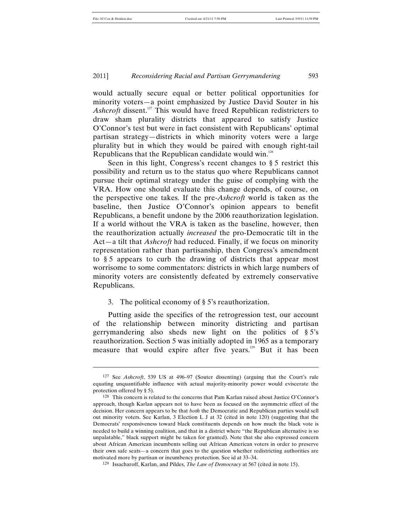l

#### 2011] *Reconsidering Racial and Partisan Gerrymandering* 593

would actually secure equal or better political opportunities for minority voters—a point emphasized by Justice David Souter in his Ashcroft dissent.<sup>127</sup> This would have freed Republican redistricters to draw sham plurality districts that appeared to satisfy Justice O'Connor's test but were in fact consistent with Republicans' optimal partisan strategy—districts in which minority voters were a large plurality but in which they would be paired with enough right-tail Republicans that the Republican candidate would win.<sup>128</sup>

Seen in this light, Congress's recent changes to § 5 restrict this possibility and return us to the status quo where Republicans cannot pursue their optimal strategy under the guise of complying with the VRA. How one should evaluate this change depends, of course, on the perspective one takes. If the pre-*Ashcroft* world is taken as the baseline, then Justice O'Connor's opinion appears to benefit Republicans, a benefit undone by the 2006 reauthorization legislation. If a world without the VRA is taken as the baseline, however, then the reauthorization actually *increased* the pro-Democratic tilt in the Act—a tilt that *Ashcroft* had reduced. Finally, if we focus on minority representation rather than partisanship, then Congress's amendment to § 5 appears to curb the drawing of districts that appear most worrisome to some commentators: districts in which large numbers of minority voters are consistently defeated by extremely conservative Republicans.

#### 3. The political economy of § 5's reauthorization.

Putting aside the specifics of the retrogression test, our account of the relationship between minority districting and partisan gerrymandering also sheds new light on the politics of § 5's reauthorization. Section 5 was initially adopted in 1965 as a temporary measure that would expire after five years.<sup>129</sup> But it has been

<sup>127</sup> See *Ashcroft*, 539 US at 496–97 (Souter dissenting) (arguing that the Court's rule equating unquantifiable influence with actual majority-minority power would eviscerate the protection offered by § 5).

<sup>128</sup> This concern is related to the concerns that Pam Karlan raised about Justice O'Connor's approach, though Karlan appears not to have been as focused on the asymmetric effect of the decision. Her concern appears to be that *both* the Democratic and Republican parties would sell out minority voters. See Karlan, 3 Election L J at 32 (cited in note 120) (suggesting that the Democrats' responsiveness toward black constituents depends on how much the black vote is needed to build a winning coalition, and that in a district where "the Republican alternative is so unpalatable," black support might be taken for granted). Note that she also expressed concern about African American incumbents selling out African American voters in order to preserve their own safe seats—a concern that goes to the question whether redistricting authorities are motivated more by partisan or incumbency protection. See id at 33–34.

<sup>129</sup> Issacharoff, Karlan, and Pildes, *The Law of Democracy* at 567 (cited in note 15).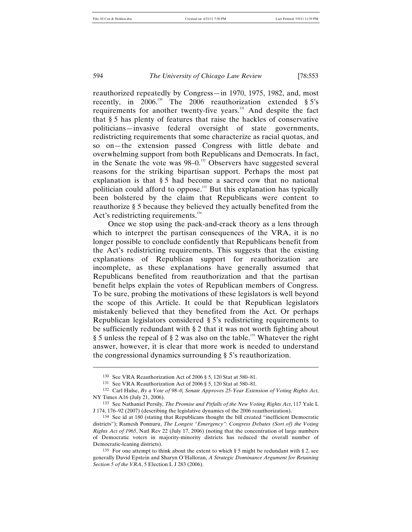reauthorized repeatedly by Congress—in 1970, 1975, 1982, and, most recently, in 2006.<sup>130</sup> The 2006 reauthorization extended  $\S 5$ 's requirements for another twenty-five years.<sup>131</sup> And despite the fact that § 5 has plenty of features that raise the hackles of conservative politicians—invasive federal oversight of state governments, redistricting requirements that some characterize as racial quotas, and so on—the extension passed Congress with little debate and overwhelming support from both Republicans and Democrats. In fact, in the Senate the vote was  $98-0.^{132}$  Observers have suggested several reasons for the striking bipartisan support. Perhaps the most pat explanation is that § 5 had become a sacred cow that no national politician could afford to oppose.133 But this explanation has typically been bolstered by the claim that Republicans were content to reauthorize § 5 because they believed they actually benefited from the Act's redistricting requirements. $134$ 

Once we stop using the pack-and-crack theory as a lens through which to interpret the partisan consequences of the VRA, it is no longer possible to conclude confidently that Republicans benefit from the Act's redistricting requirements. This suggests that the existing explanations of Republican support for reauthorization are incomplete, as these explanations have generally assumed that Republicans benefited from reauthorization and that the partisan benefit helps explain the votes of Republican members of Congress. To be sure, probing the motivations of these legislators is well beyond the scope of this Article. It could be that Republican legislators mistakenly believed that they benefited from the Act. Or perhaps Republican legislators considered § 5's redistricting requirements to be sufficiently redundant with § 2 that it was not worth fighting about § 5 unless the repeal of § 2 was also on the table.<sup>135</sup> Whatever the right answer, however, it is clear that more work is needed to understand the congressional dynamics surrounding § 5's reauthorization.

<sup>130</sup> See VRA Reauthorization Act of 2006 § 5, 120 Stat at 580–81.

<sup>131</sup> See VRA Reauthorization Act of 2006 § 5, 120 Stat at 580–81*.*

<sup>132</sup> Carl Hulse, *By a Vote of 98–0, Senate Approves 25-Year Extension of Voting Rights Act*, NY Times A16 (July 21, 2006).

<sup>133</sup> See Nathaniel Persily, *The Promise and Pitfalls of the New Voting Rights Act*, 117 Yale L J 174, 176–92 (2007) (describing the legislative dynamics of the 2006 reauthorization).

<sup>134</sup> See id at 180 (stating that Republicans thought the bill created "inefficient Democratic districts"); Ramesh Ponnuru, *The Longest "Emergency": Congress Debates (Sort of) the Voting Rights Act of 1965*, Natl Rev 22 (July 17, 2006) (noting that the concentration of large numbers of Democratic voters in majority-minority districts has reduced the overall number of Democratic-leaning districts).

<sup>&</sup>lt;sup>135</sup> For one attempt to think about the extent to which § 5 might be redundant with § 2, see generally David Epstein and Sharyn O'Halloran, *A Strategic Dominance Argument for Retaining Section 5 of the VRA*, 5 Election L J 283 (2006).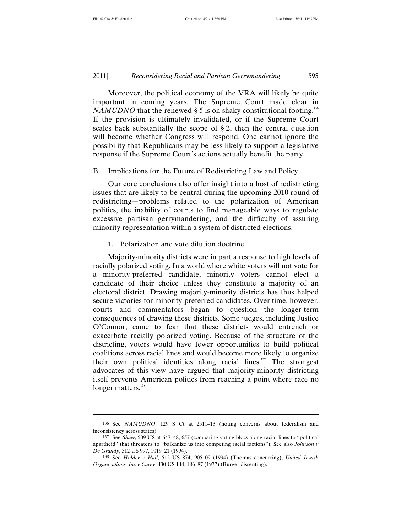l

#### 2011] *Reconsidering Racial and Partisan Gerrymandering* 595

Moreover, the political economy of the VRA will likely be quite important in coming years. The Supreme Court made clear in *NAMUDNO* that the renewed  $\S 5$  is on shaky constitutional footing.<sup>136</sup> If the provision is ultimately invalidated, or if the Supreme Court scales back substantially the scope of  $\S 2$ , then the central question will become whether Congress will respond. One cannot ignore the possibility that Republicans may be less likely to support a legislative response if the Supreme Court's actions actually benefit the party.

#### B. Implications for the Future of Redistricting Law and Policy

Our core conclusions also offer insight into a host of redistricting issues that are likely to be central during the upcoming 2010 round of redistricting—problems related to the polarization of American politics, the inability of courts to find manageable ways to regulate excessive partisan gerrymandering, and the difficulty of assuring minority representation within a system of districted elections.

1. Polarization and vote dilution doctrine.

Majority-minority districts were in part a response to high levels of racially polarized voting. In a world where white voters will not vote for a minority-preferred candidate, minority voters cannot elect a candidate of their choice unless they constitute a majority of an electoral district. Drawing majority-minority districts has thus helped secure victories for minority-preferred candidates. Over time, however, courts and commentators began to question the longer-term consequences of drawing these districts. Some judges, including Justice O'Connor, came to fear that these districts would entrench or exacerbate racially polarized voting. Because of the structure of the districting, voters would have fewer opportunities to build political coalitions across racial lines and would become more likely to organize their own political identities along racial lines.<sup>137</sup> The strongest advocates of this view have argued that majority-minority districting itself prevents American politics from reaching a point where race no longer matters.<sup>138</sup>

<sup>136</sup> See *NAMUDNO*, 129 S Ct at 2511–13 (noting concerns about federalism and inconsistency across states).

<sup>137</sup> See *Shaw*, 509 US at 647–48, 657 (comparing voting blocs along racial lines to "political apartheid" that threatens to "balkanize us into competing racial factions"). See also *Johnson v De Grandy*, 512 US 997, 1019–21 (1994).

<sup>138</sup> See *Holder v Hall*, 512 US 874, 905–09 (1994) (Thomas concurring); *United Jewish Organizations, Inc v Carey*, 430 US 144, 186–87 (1977) (Burger dissenting).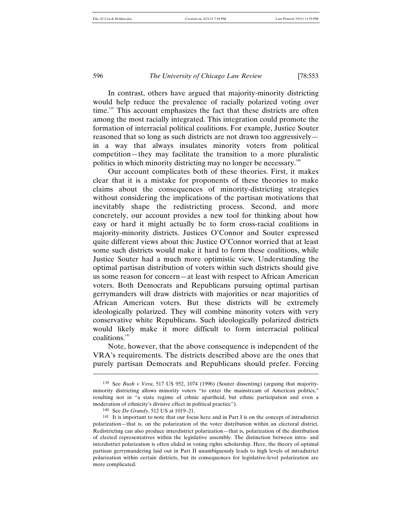l

In contrast, others have argued that majority-minority districting would help reduce the prevalence of racially polarized voting over time.<sup>139</sup> This account emphasizes the fact that these districts are often among the most racially integrated. This integration could promote the formation of interracial political coalitions. For example, Justice Souter reasoned that so long as such districts are not drawn too aggressively in a way that always insulates minority voters from political competition—they may facilitate the transition to a more pluralistic politics in which minority districting may no longer be necessary.140

Our account complicates both of these theories. First, it makes clear that it is a mistake for proponents of these theories to make claims about the consequences of minority-districting strategies without considering the implications of the partisan motivations that inevitably shape the redistricting process. Second, and more concretely, our account provides a new tool for thinking about how easy or hard it might actually be to form cross-racial coalitions in majority-minority districts. Justices O'Connor and Souter expressed quite different views about this: Justice O'Connor worried that at least some such districts would make it hard to form these coalitions, while Justice Souter had a much more optimistic view. Understanding the optimal partisan distribution of voters within such districts should give us some reason for concern—at least with respect to African American voters. Both Democrats and Republicans pursuing optimal partisan gerrymanders will draw districts with majorities or near majorities of African American voters. But these districts will be extremely ideologically polarized. They will combine minority voters with very conservative white Republicans. Such ideologically polarized districts would likely make it more difficult to form interracial political coalitions.141

Note, however, that the above consequence is independent of the VRA's requirements. The districts described above are the ones that purely partisan Democrats and Republicans should prefer. Forcing

<sup>139</sup> See *Bush v Vera*, 517 US 952, 1074 (1996) (Souter dissenting) (arguing that majorityminority districting allows minority voters "to enter the mainstream of American politics," resulting not in "a state regime of ethnic apartheid, but ethnic participation and even a moderation of ethnicity's divisive effect in political practice").

<sup>140</sup> See *De Grandy*, 512 US at 1019–21.

<sup>141</sup> It is important to note that our focus here and in Part I is on the concept of intradistrict polarization—that is, on the polarization of the voter distribution within an electoral district. Redistricting can also produce interdistrict polarization—that is, polarization of the distribution of elected representatives within the legislative assembly. The distinction between intra- and interdistrict polarization is often elided in voting rights scholarship. Here, the theory of optimal partisan gerrymandering laid out in Part II unambiguously leads to high levels of intradistrict polarization within certain districts, but its consequences for legislative-level polarization are more complicated.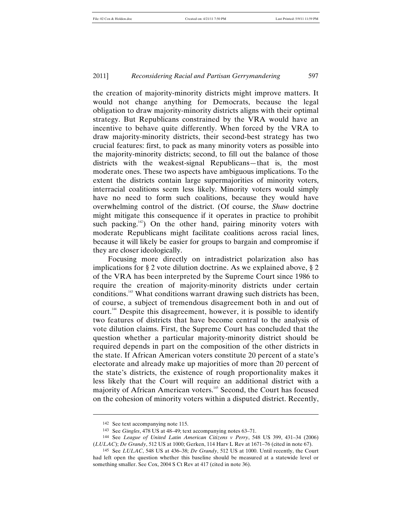the creation of majority-minority districts might improve matters. It would not change anything for Democrats, because the legal obligation to draw majority-minority districts aligns with their optimal strategy. But Republicans constrained by the VRA would have an incentive to behave quite differently. When forced by the VRA to draw majority-minority districts, their second-best strategy has two crucial features: first, to pack as many minority voters as possible into the majority-minority districts; second, to fill out the balance of those districts with the weakest-signal Republicans—that is, the most moderate ones. These two aspects have ambiguous implications. To the extent the districts contain large supermajorities of minority voters, interracial coalitions seem less likely. Minority voters would simply have no need to form such coalitions, because they would have overwhelming control of the district. (Of course, the *Shaw* doctrine might mitigate this consequence if it operates in practice to prohibit such packing. $142$ ) On the other hand, pairing minority voters with moderate Republicans might facilitate coalitions across racial lines, because it will likely be easier for groups to bargain and compromise if they are closer ideologically.

Focusing more directly on intradistrict polarization also has implications for § 2 vote dilution doctrine. As we explained above, § 2 of the VRA has been interpreted by the Supreme Court since 1986 to require the creation of majority-minority districts under certain conditions.143 What conditions warrant drawing such districts has been, of course, a subject of tremendous disagreement both in and out of court.144 Despite this disagreement, however, it is possible to identify two features of districts that have become central to the analysis of vote dilution claims. First, the Supreme Court has concluded that the question whether a particular majority-minority district should be required depends in part on the composition of the other districts in the state. If African American voters constitute 20 percent of a state's electorate and already make up majorities of more than 20 percent of the state's districts, the existence of rough proportionality makes it less likely that the Court will require an additional district with a majority of African American voters.<sup>145</sup> Second, the Court has focused on the cohesion of minority voters within a disputed district. Recently,

<sup>142</sup> See text accompanying note 115.

<sup>143</sup> See *Gingles*, 478 US at 48–49; text accompanying notes 63–71.

<sup>144</sup> See *League of United Latin American Citizens v Perry*, 548 US 399, 431–34 (2006) (*LULAC*); *De Grandy*, 512 US at 1000; Gerken, 114 Harv L Rev at 1671–76 (cited in note 67).

<sup>145</sup> See *LULAC*, 548 US at 436–38; *De Grandy*, 512 US at 1000. Until recently, the Court had left open the question whether this baseline should be measured at a statewide level or something smaller. See Cox, 2004 S Ct Rev at 417 (cited in note 36).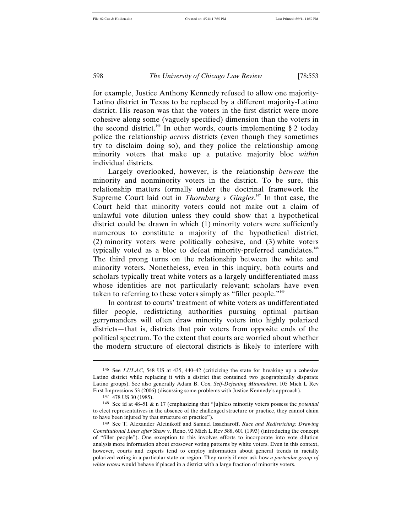for example, Justice Anthony Kennedy refused to allow one majority-Latino district in Texas to be replaced by a different majority-Latino district. His reason was that the voters in the first district were more cohesive along some (vaguely specified) dimension than the voters in the second district.<sup>146</sup> In other words, courts implementing  $\S 2$  today police the relationship *across* districts (even though they sometimes try to disclaim doing so), and they police the relationship among minority voters that make up a putative majority bloc *within* individual districts.

Largely overlooked, however, is the relationship *between* the minority and nonminority voters in the district. To be sure, this relationship matters formally under the doctrinal framework the Supreme Court laid out in *Thornburg*  $\nu$  *Gingles*.<sup>147</sup> In that case, the Court held that minority voters could not make out a claim of unlawful vote dilution unless they could show that a hypothetical district could be drawn in which (1) minority voters were sufficiently numerous to constitute a majority of the hypothetical district, (2) minority voters were politically cohesive, and (3) white voters typically voted as a bloc to defeat minority-preferred candidates.<sup>148</sup> The third prong turns on the relationship between the white and minority voters. Nonetheless, even in this inquiry, both courts and scholars typically treat white voters as a largely undifferentiated mass whose identities are not particularly relevant; scholars have even taken to referring to these voters simply as "filler people."<sup>149</sup>

In contrast to courts' treatment of white voters as undifferentiated filler people, redistricting authorities pursuing optimal partisan gerrymanders will often draw minority voters into highly polarized districts—that is, districts that pair voters from opposite ends of the political spectrum. To the extent that courts are worried about whether the modern structure of electoral districts is likely to interfere with

<sup>146</sup> See *LULAC*, 548 US at 435, 440–42 (criticizing the state for breaking up a cohesive Latino district while replacing it with a district that contained two geographically disparate Latino groups). See also generally Adam B. Cox, *Self-Defeating Minimalism*, 105 Mich L Rev First Impressions 53 (2006) (discussing some problems with Justice Kennedy's approach).

<sup>147</sup> 478 US 30 (1985).

<sup>148</sup> See id at 48–51 & n 17 (emphasizing that "[u]nless minority voters possess the *potential* to elect representatives in the absence of the challenged structure or practice, they cannot claim to have been injured by that structure or practice").

<sup>149</sup> See T. Alexander Aleinikoff and Samuel Issacharoff, *Race and Redistricting: Drawing Constitutional Lines after* Shaw v. Reno, 92 Mich L Rev 588, 601 (1993) (introducing the concept of "filler people"). One exception to this involves efforts to incorporate into vote dilution analysis more information about crossover voting patterns by white voters. Even in this context, however, courts and experts tend to employ information about general trends in racially polarized voting in a particular state or region. They rarely if ever ask how *a particular group of white voters* would behave if placed in a district with a large fraction of minority voters.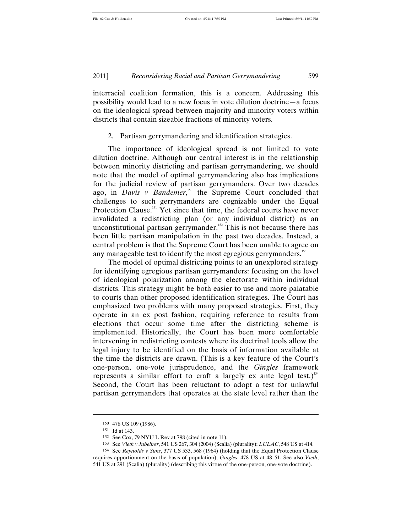interracial coalition formation, this is a concern. Addressing this possibility would lead to a new focus in vote dilution doctrine—a focus on the ideological spread between majority and minority voters within districts that contain sizeable fractions of minority voters.

#### 2. Partisan gerrymandering and identification strategies.

The importance of ideological spread is not limited to vote dilution doctrine. Although our central interest is in the relationship between minority districting and partisan gerrymandering, we should note that the model of optimal gerrymandering also has implications for the judicial review of partisan gerrymanders. Over two decades ago, in *Davis v Bandemer*,<sup>150</sup> the Supreme Court concluded that challenges to such gerrymanders are cognizable under the Equal Protection Clause.<sup>151</sup> Yet since that time, the federal courts have never invalidated a redistricting plan (or any individual district) as an unconstitutional partisan gerrymander.<sup>152</sup> This is not because there has been little partisan manipulation in the past two decades. Instead, a central problem is that the Supreme Court has been unable to agree on any manageable test to identify the most egregious gerrymanders.<sup>153</sup>

The model of optimal districting points to an unexplored strategy for identifying egregious partisan gerrymanders: focusing on the level of ideological polarization among the electorate within individual districts. This strategy might be both easier to use and more palatable to courts than other proposed identification strategies. The Court has emphasized two problems with many proposed strategies. First, they operate in an ex post fashion, requiring reference to results from elections that occur some time after the districting scheme is implemented. Historically, the Court has been more comfortable intervening in redistricting contests where its doctrinal tools allow the legal injury to be identified on the basis of information available at the time the districts are drawn. (This is a key feature of the Court's one-person, one-vote jurisprudence, and the *Gingles* framework represents a similar effort to craft a largely ex ante legal test.)<sup>154</sup> Second, the Court has been reluctant to adopt a test for unlawful partisan gerrymanders that operates at the state level rather than the

<sup>150</sup> 478 US 109 (1986).

<sup>151</sup> Id at 143.

<sup>152</sup> See Cox, 79 NYU L Rev at 798 (cited in note 11).

<sup>153</sup> See *Vieth v Jubelirer*, 541 US 267, 304 (2004) (Scalia) (plurality); *LULAC*, 548 US at 414.

<sup>154</sup> See *Reynolds v Sims*, 377 US 533, 568 (1964) (holding that the Equal Protection Clause requires apportionment on the basis of population); *Gingles*, 478 US at 48–51. See also *Vieth*, 541 US at 291 (Scalia) (plurality) (describing this virtue of the one-person, one-vote doctrine).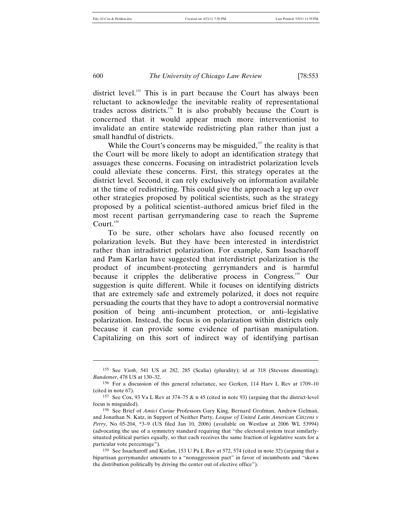district level.<sup>155</sup> This is in part because the Court has always been reluctant to acknowledge the inevitable reality of representational trades across districts.156 It is also probably because the Court is concerned that it would appear much more interventionist to invalidate an entire statewide redistricting plan rather than just a small handful of districts.

While the Court's concerns may be misguided, $157$  the reality is that the Court will be more likely to adopt an identification strategy that assuages these concerns. Focusing on intradistrict polarization levels could alleviate these concerns. First, this strategy operates at the district level. Second, it can rely exclusively on information available at the time of redistricting. This could give the approach a leg up over other strategies proposed by political scientists, such as the strategy proposed by a political scientist–authored amicus brief filed in the most recent partisan gerrymandering case to reach the Supreme  $C$ ourt.<sup>158</sup>

To be sure, other scholars have also focused recently on polarization levels. But they have been interested in interdistrict rather than intradistrict polarization. For example, Sam Issacharoff and Pam Karlan have suggested that interdistrict polarization is the product of incumbent-protecting gerrymanders and is harmful because it cripples the deliberative process in Congress.<sup>159</sup> Our suggestion is quite different. While it focuses on identifying districts that are extremely safe and extremely polarized, it does not require persuading the courts that they have to adopt a controversial normative position of being anti–incumbent protection, or anti–legislative polarization. Instead, the focus is on polarization within districts only because it can provide some evidence of partisan manipulation. Capitalizing on this sort of indirect way of identifying partisan

<sup>155</sup> See *Vieth*, 541 US at 282, 285 (Scalia) (plurality); id at 318 (Stevens dissenting); *Bandemer*, 478 US at 130–32.

<sup>156</sup> For a discussion of this general reluctance, see Gerken, 114 Harv L Rev at 1709–10 (cited in note 67).

<sup>157</sup> See Cox, 93 Va L Rev at 374–75 & n 45 (cited in note 93) (arguing that the district-level focus is misguided).

<sup>158</sup> See Brief of *Amici Curiae* Professors Gary King, Bernard Grofman, Andrew Gelman, and Jonathan N. Katz, in Support of Neither Party, *League of United Latin American Citizens v Perry*, No 05-204, \*3–9 (US filed Jan 10, 2006) (available on Westlaw at 2006 WL 53994) (advocating the use of a symmetry standard requiring that "the electoral system treat similarlysituated political parties equally, so that each receives the same fraction of legislative seats for a particular vote percentage").

<sup>159</sup> See Issacharoff and Karlan, 153 U Pa L Rev at 572, 574 (cited in note 32) (arguing that a bipartisan gerrymander amounts to a "nonaggression pact" in favor of incumbents and "skews the distribution politically by driving the center out of elective office").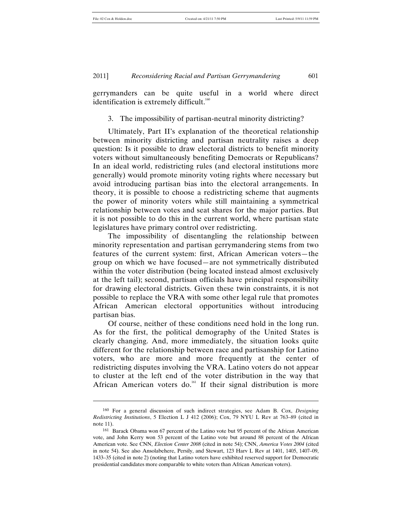l

#### 2011] *Reconsidering Racial and Partisan Gerrymandering* 601

gerrymanders can be quite useful in a world where direct identification is extremely difficult.<sup>160</sup>

#### 3. The impossibility of partisan-neutral minority districting?

Ultimately, Part II's explanation of the theoretical relationship between minority districting and partisan neutrality raises a deep question: Is it possible to draw electoral districts to benefit minority voters without simultaneously benefiting Democrats or Republicans? In an ideal world, redistricting rules (and electoral institutions more generally) would promote minority voting rights where necessary but avoid introducing partisan bias into the electoral arrangements. In theory, it is possible to choose a redistricting scheme that augments the power of minority voters while still maintaining a symmetrical relationship between votes and seat shares for the major parties. But it is not possible to do this in the current world, where partisan state legislatures have primary control over redistricting.

The impossibility of disentangling the relationship between minority representation and partisan gerrymandering stems from two features of the current system: first, African American voters—the group on which we have focused—are not symmetrically distributed within the voter distribution (being located instead almost exclusively at the left tail); second, partisan officials have principal responsibility for drawing electoral districts. Given these twin constraints, it is not possible to replace the VRA with some other legal rule that promotes African American electoral opportunities without introducing partisan bias.

Of course, neither of these conditions need hold in the long run. As for the first, the political demography of the United States is clearly changing. And, more immediately, the situation looks quite different for the relationship between race and partisanship for Latino voters, who are more and more frequently at the center of redistricting disputes involving the VRA. Latino voters do not appear to cluster at the left end of the voter distribution in the way that African American voters do.<sup>161</sup> If their signal distribution is more

<sup>160</sup> For a general discussion of such indirect strategies, see Adam B. Cox, *Designing Redistricting Institutions*, 5 Election L J 412 (2006); Cox, 79 NYU L Rev at 763–89 (cited in note 11).

<sup>161</sup> Barack Obama won 67 percent of the Latino vote but 95 percent of the African American vote, and John Kerry won 53 percent of the Latino vote but around 88 percent of the African American vote. See CNN, *Election Center 2008* (cited in note 54); CNN, *America Votes 2004* (cited in note 54). See also Ansolabehere, Persily, and Stewart, 123 Harv L Rev at 1401, 1405, 1407–09, 1433–35 (cited in note 2) (noting that Latino voters have exhibited reserved support for Democratic presidential candidates more comparable to white voters than African American voters).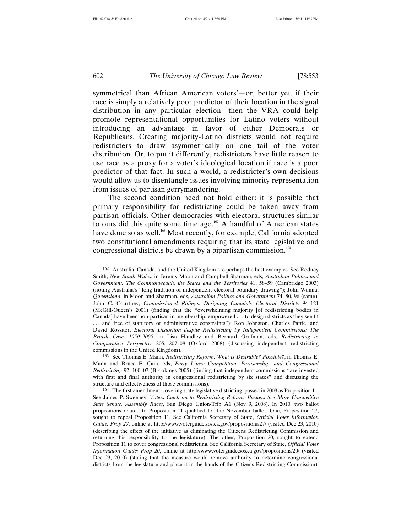symmetrical than African American voters'—or, better yet, if their race is simply a relatively poor predictor of their location in the signal distribution in any particular election—then the VRA could help promote representational opportunities for Latino voters without introducing an advantage in favor of either Democrats or Republicans. Creating majority-Latino districts would not require redistricters to draw asymmetrically on one tail of the voter distribution. Or, to put it differently, redistricters have little reason to use race as a proxy for a voter's ideological location if race is a poor predictor of that fact. In such a world, a redistricter's own decisions would allow us to disentangle issues involving minority representation from issues of partisan gerrymandering.

The second condition need not hold either: it is possible that primary responsibility for redistricting could be taken away from partisan officials. Other democracies with electoral structures similar to ours did this quite some time ago.<sup>162</sup> A handful of American states have done so as well.<sup>163</sup> Most recently, for example, California adopted two constitutional amendments requiring that its state legislative and congressional districts be drawn by a bipartisan commission.<sup>164</sup>

163 See Thomas E. Mann, *Redistricting Reform: What Is Desirable? Possible?*, in Thomas E. Mann and Bruce E. Cain, eds, *Party Lines: Competition, Partisanship, and Congressional Redistricting* 92, 100–07 (Brookings 2005) (finding that independent commissions "are invested with first and final authority in congressional redistricting by six states" and discussing the structure and effectiveness of those commissions).

164 The first amendment, covering state legislative districting, passed in 2008 as Proposition 11. See James P. Sweeney, *Voters Catch on to Redistricting Reform: Backers See More Competitive State Senate, Assembly Races*, San Diego Union-Trib A1 (Nov 9, 2008). In 2010, two ballot propositions related to Proposition 11 qualified for the November ballot. One, Proposition 27, sought to repeal Proposition 11. See California Secretary of State, *Official Voter Information Guide: Prop 27*, online at http://www.voterguide.sos.ca.gov/propositions/27/ (visited Dec 23, 2010) (describing the effect of the initiative as eliminating the Citizens Redistricting Commission and returning this responsibility to the legislature). The other, Proposition 20, sought to extend Proposition 11 to cover congressional redistricting. See California Secretary of State, *Official Voter Information Guide: Prop 20*, online at http://www.voterguide.sos.ca.gov/propositions/20/ (visited Dec 23, 2010) (stating that the measure would remove authority to determine congressional districts from the legislature and place it in the hands of the Citizens Redistricting Commission).

<sup>162</sup> Australia, Canada, and the United Kingdom are perhaps the best examples. See Rodney Smith, *New South Wales*, in Jeremy Moon and Campbell Sharman, eds, *Australian Politics and Government: The Commonwealth, the States and the Territories* 41, 58–59 (Cambridge 2003) (noting Australia's "long tradition of independent electoral boundary drawing"); John Wanna, *Queensland*, in Moon and Sharman, eds, *Australian Politics and Government* 74, 80, 96 (same); John C. Courtney, *Commissioned Ridings: Designing Canada's Electoral Districts* 94–121 (McGill-Queen's 2001) (finding that the "overwhelming majority [of redistricting bodies in Canada] have been non-partisan in membership, empowered . . . to design districts as they see fit . . . and free of statutory or administrative constraints"); Ron Johnston, Charles Pattie, and David Rossiter, *Electoral Distortion despite Redistricting by Independent Commissions: The British Case, 1950–2005*, in Lisa Handley and Bernard Grofman, eds, *Redistricting in Comparative Perspective* 205, 207–08 (Oxford 2008) (discussing independent redistricting commissions in the United Kingdom).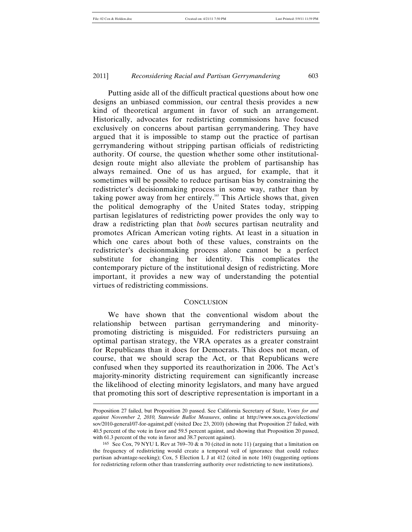Putting aside all of the difficult practical questions about how one designs an unbiased commission, our central thesis provides a new kind of theoretical argument in favor of such an arrangement. Historically, advocates for redistricting commissions have focused exclusively on concerns about partisan gerrymandering. They have argued that it is impossible to stamp out the practice of partisan gerrymandering without stripping partisan officials of redistricting authority. Of course, the question whether some other institutionaldesign route might also alleviate the problem of partisanship has always remained. One of us has argued, for example, that it sometimes will be possible to reduce partisan bias by constraining the redistricter's decisionmaking process in some way, rather than by taking power away from her entirely.<sup>165</sup> This Article shows that, given the political demography of the United States today, stripping partisan legislatures of redistricting power provides the only way to draw a redistricting plan that *both* secures partisan neutrality and promotes African American voting rights. At least in a situation in which one cares about both of these values, constraints on the redistricter's decisionmaking process alone cannot be a perfect substitute for changing her identity. This complicates the contemporary picture of the institutional design of redistricting. More important, it provides a new way of understanding the potential virtues of redistricting commissions.

#### **CONCLUSION**

We have shown that the conventional wisdom about the relationship between partisan gerrymandering and minoritypromoting districting is misguided. For redistricters pursuing an optimal partisan strategy, the VRA operates as a greater constraint for Republicans than it does for Democrats. This does not mean, of course, that we should scrap the Act, or that Republicans were confused when they supported its reauthorization in 2006. The Act's majority-minority districting requirement can significantly increase the likelihood of electing minority legislators, and many have argued that promoting this sort of descriptive representation is important in a

Proposition 27 failed, but Proposition 20 passed. See California Secretary of State, *Votes for and against November 2, 2010, Statewide Ballot Measures*, online at http://www.sos.ca.gov/elections/ sov/2010-general/07-for-against.pdf (visited Dec 23, 2010) (showing that Proposition 27 failed, with 40.5 percent of the vote in favor and 59.5 percent against, and showing that Proposition 20 passed, with 61.3 percent of the vote in favor and 38.7 percent against).

<sup>&</sup>lt;sup>165</sup> See Cox, 79 NYU L Rev at 769–70  $\&$  n 70 (cited in note 11) (arguing that a limitation on the frequency of redistricting would create a temporal veil of ignorance that could reduce partisan advantage-seeking); Cox, 5 Election L J at 412 (cited in note 160) (suggesting options for redistricting reform other than transferring authority over redistricting to new institutions).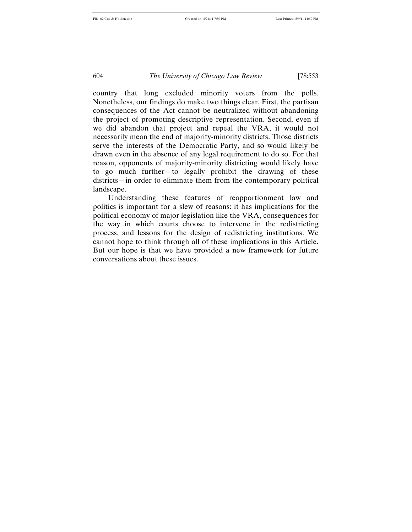country that long excluded minority voters from the polls. Nonetheless, our findings do make two things clear. First, the partisan consequences of the Act cannot be neutralized without abandoning the project of promoting descriptive representation. Second, even if we did abandon that project and repeal the VRA, it would not necessarily mean the end of majority-minority districts. Those districts serve the interests of the Democratic Party, and so would likely be drawn even in the absence of any legal requirement to do so. For that reason, opponents of majority-minority districting would likely have to go much further—to legally prohibit the drawing of these districts—in order to eliminate them from the contemporary political landscape.

Understanding these features of reapportionment law and politics is important for a slew of reasons: it has implications for the political economy of major legislation like the VRA, consequences for the way in which courts choose to intervene in the redistricting process, and lessons for the design of redistricting institutions. We cannot hope to think through all of these implications in this Article. But our hope is that we have provided a new framework for future conversations about these issues.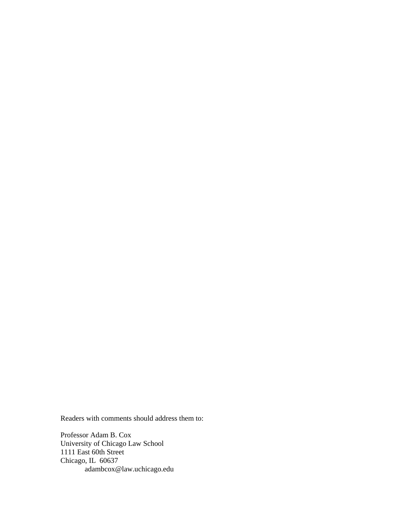Readers with comments should address them to:

Professor Adam B. Cox University of Chicago Law School 1111 East 60th Street Chicago, IL 60637 adambcox@law.uchicago.edu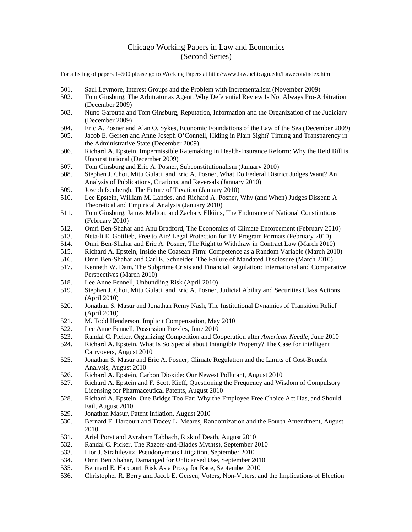# Chicago Working Papers in Law and Economics (Second Series)

For a listing of papers 1–500 please go to Working Papers at http://www.law.uchicago.edu/Lawecon/index.html

- 501. Saul Levmore, Interest Groups and the Problem with Incrementalism (November 2009)
- 502. Tom Ginsburg, The Arbitrator as Agent: Why Deferential Review Is Not Always Pro-Arbitration (December 2009)
- 503. Nuno Garoupa and Tom Ginsburg, Reputation, Information and the Organization of the Judiciary (December 2009)
- 504. Eric A. Posner and Alan O. Sykes, Economic Foundations of the Law of the Sea (December 2009)
- 505. Jacob E. Gersen and Anne Joseph O'Connell, Hiding in Plain Sight? Timing and Transparency in the Administrative State (December 2009)
- 506. Richard A. Epstein, Impermissible Ratemaking in Health-Insurance Reform: Why the Reid Bill is Unconstitutional (December 2009)
- 507. Tom Ginsburg and Eric A. Posner, Subconstitutionalism (January 2010)<br>508. Stephen J. Choi, Mitu Gulati, and Eric A. Posner, What Do Federal Distr
- 508. Stephen J. Choi, Mitu Gulati, and Eric A. Posner, What Do Federal District Judges Want? An Analysis of Publications, Citations, and Reversals (January 2010)
- 509. Joseph Isenbergh, The Future of Taxation (January 2010)
- 510. Lee Epstein, William M. Landes, and Richard A. Posner, Why (and When) Judges Dissent: A Theoretical and Empirical Analysis (January 2010)
- 511. Tom Ginsburg, James Melton, and Zachary Elkiins, The Endurance of National Constitutions (February 2010)
- 512. Omri Ben-Shahar and Anu Bradford, The Economics of Climate Enforcement (February 2010)
- 513. Neta-li E. Gottlieb, Free to Air? Legal Protection for TV Program Formats (February 2010)
- 514. Omri Ben-Shahar and Eric A. Posner, The Right to Withdraw in Contract Law (March 2010)
- 515. Richard A. Epstein, Inside the Coasean Firm: Competence as a Random Variable (March 2010)
- 516. Omri Ben-Shahar and Carl E. Schneider, The Failure of Mandated Disclosure (March 2010)
- 517. Kenneth W. Dam, The Subprime Crisis and Financial Regulation: International and Comparative Perspectives (March 2010)
- 518. Lee Anne Fennell, Unbundling Risk (April 2010)
- 519. Stephen J. Choi, Mitu Gulati, and Eric A. Posner, Judicial Ability and Securities Class Actions (April 2010)
- 520. Jonathan S. Masur and Jonathan Remy Nash, The Institutional Dynamics of Transition Relief (April 2010)
- 521. M. Todd Henderson, Implicit Compensation, May 2010
- 522. Lee Anne Fennell, Possession Puzzles, June 2010
- 523. Randal C. Picker, Organizing Competition and Cooperation after *American Needle*, June 2010
- 524. Richard A. Epstein, What Is So Special about Intangible Property? The Case for intelligent Carryovers, August 2010
- 525. Jonathan S. Masur and Eric A. Posner, Climate Regulation and the Limits of Cost-Benefit Analysis, August 2010
- 526. Richard A. Epstein, Carbon Dioxide: Our Newest Pollutant, August 2010
- 527. Richard A. Epstein and F. Scott Kieff, Questioning the Frequency and Wisdom of Compulsory Licensing for Pharmaceutical Patents, August 2010
- 528. Richard A. Epstein, One Bridge Too Far: Why the Employee Free Choice Act Has, and Should, Fail, August 2010
- 529. Jonathan Masur, Patent Inflation, August 2010
- 530. Bernard E. Harcourt and Tracey L. Meares, Randomization and the Fourth Amendment, August 2010
- 531. Ariel Porat and Avraham Tabbach, Risk of Death, August 2010
- 532. Randal C. Picker, The Razors-and-Blades Myth(s), September 2010
- 533. Lior J. Strahilevitz, Pseudonymous Litigation, September 2010
- 534. Omri Ben Shahar, Damanged for Unlicensed Use, September 2010
- 535. Bermard E. Harcourt, Risk As a Proxy for Race, September 2010
- 536. Christopher R. Berry and Jacob E. Gersen, Voters, Non-Voters, and the Implications of Election